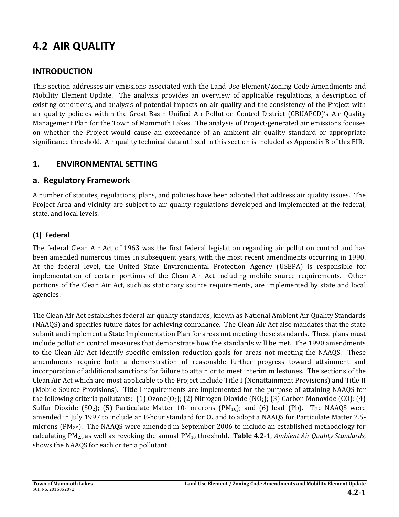# **4.2 AIR QUALITY**

## **INTRODUCTION**

This section addresses air emissions associated with the Land Use Element/Zoning Code Amendments and Mobility Element Update. The analysis provides an overview of applicable regulations, a description of existing conditions, and analysis of potential impacts on air quality and the consistency of the Project with air quality policies within the Great Basin Unified Air Pollution Control District (GBUAPCD)'s Air Quality Management Plan for the Town of Mammoth Lakes. The analysis of Project-generated air emissions focuses on whether the Project would cause an exceedance of an ambient air quality standard or appropriate significance threshold. Air quality technical data utilized in this section is included as Appendix B of this EIR.

## **1. ENVIRONMENTAL SETTING**

## **a. Regulatory Framework**

A number of statutes, regulations, plans, and policies have been adopted that address air quality issues. The Project Area and vicinity are subject to air quality regulations developed and implemented at the federal, state, and local levels.

## **(1) Federal**

The federal Clean Air Act of 1963 was the first federal legislation regarding air pollution control and has been amended numerous times in subsequent years, with the most recent amendments occurring in 1990. At the federal level, the United State Environmental Protection Agency (USEPA) is responsible for implementation of certain portions of the Clean Air Act including mobile source requirements. Other portions of the Clean Air Act, such as stationary source requirements, are implemented by state and local agencies.

The Clean Air Act establishes federal air quality standards, known as National Ambient Air Quality Standards (NAAQS) and specifies future dates for achieving compliance. The Clean Air Act also mandates that the state submit and implement a State Implementation Plan for areas not meeting these standards. These plans must include pollution control measures that demonstrate how the standards will be met. The 1990 amendments to the Clean Air Act identify specific emission reduction goals for areas not meeting the NAAQS. These amendments require both a demonstration of reasonable further progress toward attainment and incorporation of additional sanctions for failure to attain or to meet interim milestones. The sections of the Clean Air Act which are most applicable to the Project include Title I (Nonattainment Provisions) and Title II (Mobile Source Provisions). Title I requirements are implemented for the purpose of attaining NAAQS for the following criteria pollutants: (1) Ozone $(0_3)$ ; (2) Nitrogen Dioxide (NO<sub>2</sub>); (3) Carbon Monoxide (CO); (4) Sulfur Dioxide (SO<sub>2</sub>); (5) Particulate Matter 10- microns (PM<sub>10</sub>); and (6) lead (Pb). The NAAQS were amended in July 1997 to include an 8-hour standard for  $O_3$  and to adopt a NAAQS for Particulate Matter 2.5microns (PM2.5). The NAAQS were amended in September 2006 to include an established methodology for calculating PM2.5 as well as revoking the annual PM10 threshold. **[Table 4.2-1](#page-1-0)**, *Ambient Air Quality Standards*, shows the NAAQS for each criteria pollutant.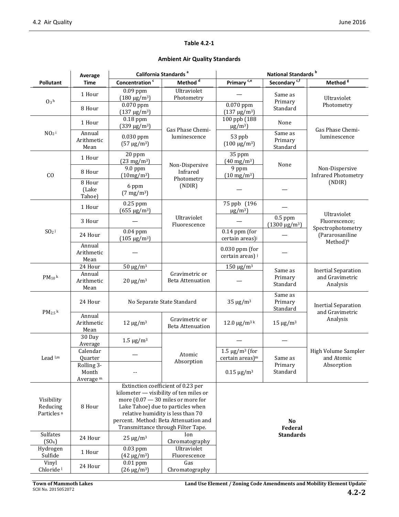#### **Table 4.2-1**

#### **Ambient Air Quality Standards**

<span id="page-1-0"></span>

|                                                  | Average                                     |                                              | California Standards <sup>a</sup>                                                                                                                                                                                                                                            | National Standards <sup>b</sup>                     |                                                                                 |                                              |  |
|--------------------------------------------------|---------------------------------------------|----------------------------------------------|------------------------------------------------------------------------------------------------------------------------------------------------------------------------------------------------------------------------------------------------------------------------------|-----------------------------------------------------|---------------------------------------------------------------------------------|----------------------------------------------|--|
| Pollutant                                        | Time                                        | Concentration <sup>c</sup>                   | Method <sup>d</sup>                                                                                                                                                                                                                                                          | Primary <sup>c,e</sup>                              | Secondary <sup>c,f</sup>                                                        | Method $\overline{\mathbf{g}}$               |  |
|                                                  | 1 Hour                                      | $0.09$ ppm<br>$(180 \text{ µg/m}^3)$         | Ultraviolet<br>Photometry                                                                                                                                                                                                                                                    |                                                     | Same as                                                                         | Ultraviolet                                  |  |
| $0_3$ h                                          | 8 Hour                                      | $0.070$ ppm<br>$(137 \text{ µg/m}^3)$        |                                                                                                                                                                                                                                                                              | 0.070 ppm<br>$(137 \,\mu g/m^3)$                    | Primary<br>Standard                                                             | Photometry                                   |  |
|                                                  | 1 Hour                                      | $0.18$ ppm<br>$(339 \text{ µg/m}^3)$         | Gas Phase Chemi-                                                                                                                                                                                                                                                             | 100 ppb (188<br>$\mu$ g/m <sup>3</sup> )            | None                                                                            | Gas Phase Chemi-<br>luminescence             |  |
| $NO2$ i                                          | Annual<br>Arithmetic<br>Mean                | $0.030$ ppm<br>$(57 \,\mu g/m^3)$            | luminescence                                                                                                                                                                                                                                                                 | 53 ppb<br>$(100 \,\mathrm{\upmu g/m^3})$            | Same as<br>Primary<br>Standard                                                  |                                              |  |
|                                                  | 1 Hour                                      | 20 ppm<br>$(23 \text{ mg/m}^3)$              | Non-Dispersive                                                                                                                                                                                                                                                               | 35 ppm<br>$(40 \text{ mg/m}^3)$                     | None                                                                            |                                              |  |
| CO                                               | 8 Hour                                      | 9.0 ppm<br>(10mg/m <sup>3</sup> )            | Infrared<br>Photometry                                                                                                                                                                                                                                                       | 9 ppm<br>$(10 \text{ mg/m}^3)$                      |                                                                                 | Non-Dispersive<br><b>Infrared Photometry</b> |  |
|                                                  | 8 Hour<br>(Lake<br>Tahoe)                   | 6 ppm<br>$(7 \text{ mg/m}^3)$                | (NDIR)                                                                                                                                                                                                                                                                       |                                                     |                                                                                 | (NDIR)                                       |  |
|                                                  | 1 Hour                                      | $0.25$ ppm<br>$(655 \,\mu g/m^3)$            |                                                                                                                                                                                                                                                                              | 75 ppb (196<br>$\mu$ g/m <sup>3</sup> )             |                                                                                 | Ultraviolet                                  |  |
|                                                  | 3 Hour                                      |                                              | Ultraviolet<br>Fluorescence                                                                                                                                                                                                                                                  |                                                     | $0.5$ ppm<br>$(1300 \,\mathrm{\upmu g/m^3})$                                    | Fluorescence;<br>Spectrophotometry           |  |
| $SO2$ j                                          | 24 Hour                                     | $\overline{0.04}$ ppm<br>$(105 \,\mu g/m^3)$ |                                                                                                                                                                                                                                                                              | $0.14$ ppm (for<br>certain areas) <sup>j</sup>      |                                                                                 | (Pararosaniline<br>Method) <sup>9</sup>      |  |
|                                                  | Annual<br>Arithmetic<br>Mean                |                                              |                                                                                                                                                                                                                                                                              | $0.030$ ppm (for<br>certain areas) i                |                                                                                 |                                              |  |
|                                                  | 24 Hour                                     | $50 \mu g/m^3$                               |                                                                                                                                                                                                                                                                              | $150 \mu g/m^3$                                     | Same as                                                                         | <b>Inertial Separation</b>                   |  |
| $PM_{10}$ k                                      | Annual<br>Arithmetic<br>Mean                | $20 \mu g/m^3$                               | Gravimetric or<br><b>Beta Attenuation</b>                                                                                                                                                                                                                                    |                                                     | Primary<br>Standard                                                             | and Gravimetric<br>Analysis                  |  |
| $PM_{2.5}$ k                                     | 24 Hour                                     |                                              | No Separate State Standard                                                                                                                                                                                                                                                   | $35 \mu g/m^3$                                      | Same as<br>Primary<br><b>Inertial Separation</b><br>Standard<br>and Gravimetric |                                              |  |
|                                                  | Annual<br>Arithmetic<br>Mean                | $12 \mu g/m^3$                               | Gravimetric or<br><b>Beta Attenuation</b>                                                                                                                                                                                                                                    | $12.0 \,\mathrm{\upmu g/m^{3}}$ k                   | $15 \mu g/m^3$                                                                  | Analysis                                     |  |
|                                                  | 30 Day<br>Average                           | 1.5 $μg/m3$                                  |                                                                                                                                                                                                                                                                              |                                                     |                                                                                 |                                              |  |
| Lead l,m                                         | Calendar<br>Quarter                         |                                              | Atomic<br>Absorption                                                                                                                                                                                                                                                         | $1.5 \mu g/m^3$ (for<br>certain areas) <sup>m</sup> | Same as                                                                         | High Volume Sampler<br>and Atomic            |  |
|                                                  | Rolling 3-<br>Month<br>Average <sup>m</sup> |                                              |                                                                                                                                                                                                                                                                              | $0.15 \,\mathrm{\upmu g/m^3}$                       | Primary<br>Standard                                                             | Absorption                                   |  |
| Visibility<br>Reducing<br>Particles <sup>n</sup> | 8 Hour                                      |                                              | Extinction coefficient of 0.23 per<br>kilometer - visibility of ten miles or<br>more $(0.07 - 30$ miles or more for<br>Lake Tahoe) due to particles when<br>relative humidity is less than 70<br>percent. Method: Beta Attenuation and<br>Transmittance through Filter Tape. |                                                     | <b>No</b><br>Federal                                                            |                                              |  |
| Sulfates<br>(SO <sub>4</sub> )                   | 24 Hour                                     | $25 \mu g/m^3$                               | Ion<br>Chromatography                                                                                                                                                                                                                                                        |                                                     | <b>Standards</b>                                                                |                                              |  |
| Hydrogen<br>Sulfide                              | 1 Hour                                      | $0.03$ ppm<br>$(42 \,\mu g/m^3)$             | Ultraviolet<br>Fluorescence                                                                                                                                                                                                                                                  |                                                     |                                                                                 |                                              |  |
| Vinyl<br>Chloride <sup>1</sup>                   | 24 Hour                                     | $0.01$ ppm<br>$(26 \,\mu g/m^3)$             | Gas<br>Chromatography                                                                                                                                                                                                                                                        |                                                     |                                                                                 |                                              |  |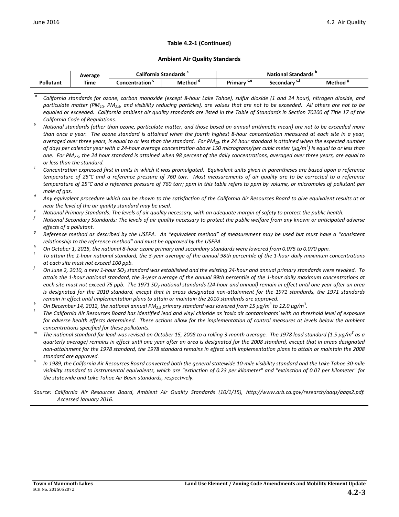#### **Table 4.2-1 (Continued)**

#### **Ambient Air Quality Standards**

|                  | Average | California Standards |               | <b>National Standards</b> |                |                     |  |
|------------------|---------|----------------------|---------------|---------------------------|----------------|---------------------|--|
| <b>Pollutant</b> | Time    | Concentration        | . .<br>Method | Primarv <sup>c,e</sup>    | ີ<br>secondarv | Method <sup>8</sup> |  |

*<sup>a</sup> California standards for ozone, carbon monoxide (except 8-hour Lake Tahoe), sulfur dioxide (1 and 24 hour), nitrogen dioxide, and particulate matter (PM10, PM2.5, and visibility reducing particles), are values that are not to be exceeded. All others are not to be equaled or exceeded. California ambient air quality standards are listed in the Table of Standards in Section 70200 of Title 17 of the California Code of Regulations. <sup>b</sup> National standards (other than ozone, particulate matter, and those based on annual arithmetic mean) are not to be exceeded more* 

- *near the level of the air quality standard may be used. e National Primary Standards: The levels of air quality necessary, with an adequate margin of safety to protect the public health.*
- *<sup>f</sup> National Secondary Standards: The levels of air quality necessary to protect the public welfare from any known or anticipated adverse effects of a pollutant. g Reference method as described by the USEPA. An "equivalent method" of measurement may be used but must have a "consistent*

relationship to the reference method" and must be approved by the USEPA.<br>On October 1, 2015, the national 8-hour ozone primary and secondary standards were lowered from 0.075 to 0.070 ppm.<br>To attain the 1-hour national sta

- 
- *at each site must not exceed 100 ppb.*
- *On June 2, 2010, a new 1-hour SO<sub>2</sub> standard was established and the existing 24-hour and annual primary standards were revoked. To attain the 1-hour national standard, the 3-year average of the annual 99th percentile of the 1-hour daily maximum concentrations at each site must not exceed 75 ppb. The 1971 SO2 national standards (24-hour and annual) remain in effect until one year after an area*  is designated for the 2010 standard, except that in areas designated non-attainment for the 1971 standards, the 1971 standards
- remain in effect until implementation plans to attain or maintain the 2010 standards are approved.<br><sup>k</sup> On December 14, 2012, the national annual PM<sub>2.5</sub> primary standard was lowered from 15  $\mu$ g/m<sup>3</sup> to 12.0  $\mu$ g/m<sup>3</sup>.
- *. <sup>l</sup> The California Air Resources Board has identified lead and vinyl chloride as 'toxic air contaminants' with no threshold level of exposure for adverse health effects determined. These actions allow for the implementation of control measures at levels below the ambient concentrations specified for these pollutants. <sup>m</sup> The national standard for lead was revised on October 15, 2008 to a rolling 3-month average. The 1978 lead standard (1.5 μg/m<sup>3</sup> as a*
- *quarterly average) remains in effect until one year after an area is designated for the 2008 standard, except that in areas designated non-attainment for the 1978 standard, the 1978 standard remains in effect until implementation plans to attain or maintain the 2008*
- *standard are approved. <sup>n</sup> In 1989, the California Air Resources Board converted both the general statewide 10-mile visibility standard and the Lake Tahoe 30-mile visibility standard to instrumental equivalents, which are "extinction of 0.23 per kilometer" and "extinction of 0.07 per kilometer" for the statewide and Lake Tahoe Air Basin standards, respectively.*

*Source: California Air Resources Board, Ambient Air Quality Standards (10/1/15), http://www.arb.ca.gov/research/aaqs/aaqs2.pdf. Accessed January 2016.*

*than once a year. The ozone standard is attained when the fourth highest 8-hour concentration measured at each site in a year,*  averaged over three years, is equal to or less than the standard. For PM<sub>10</sub>, the 24 hour standard is attained when the expected number *of days per calendar year with a 24-hour average concentration above 150 micrograms/per cubic meter (μg/m<sup>3</sup> ) is equal to or less than one. For PM2.5, the 24 hour standard is attained when 98 percent of the daily concentrations, averaged over three years, are equal to* 

*or less than the standard. c Concentration expressed first in units in which it was promulgated. Equivalent units given in parentheses are based upon a reference temperature of 25°C and a reference pressure of 760 torr. Most measurements of air quality are to be corrected to a reference temperature of 25°C and a reference pressure of 760 torr; ppm in this table refers to ppm by volume, or micromoles of pollutant per* 

*mole of gas. d Any equivalent procedure which can be shown to the satisfaction of the California Air Resources Board to give equivalent results at or*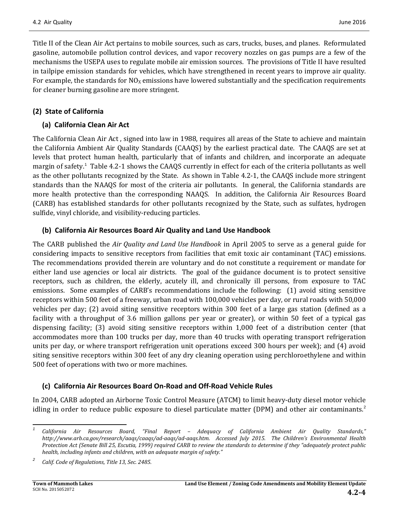Title II of the Clean Air Act pertains to mobile sources, such as cars, trucks, buses, and planes. Reformulated gasoline, automobile pollution control devices, and vapor recovery nozzles on gas pumps are a few of the mechanisms the USEPA uses to regulate mobile air emission sources. The provisions of Title II have resulted in tailpipe emission standards for vehicles, which have strengthened in recent years to improve air quality. For example, the standards for  $NO<sub>X</sub>$  emissions have lowered substantially and the specification requirements for cleaner burning gasoline are more stringent.

### **(2) State of California**

#### **(a) California Clean Air Act**

The California Clean Air Act , signed into law in 1988, requires all areas of the State to achieve and maintain the California Ambient Air Quality Standards (CAAQS) by the earliest practical date. The CAAQS are set at levels that protect human health, particularly that of infants and children, and incorporate an adequate margin of safety.<sup>[1](#page-3-0)</sup> [Table 4.2-1](#page-1-0) shows the CAAQS currently in effect for each of the criteria pollutants as well as the other pollutants recognized by the State. As shown in [Table 4.2-1,](#page-1-0) the CAAQS include more stringent standards than the NAAQS for most of the criteria air pollutants. In general, the California standards are more health protective than the corresponding NAAQS. In addition, the California Air Resources Board (CARB) has established standards for other pollutants recognized by the State, such as sulfates, hydrogen sulfide, vinyl chloride, and visibility-reducing particles.

#### **(b) California Air Resources Board Air Quality and Land Use Handbook**

The CARB published the *Air Quality and Land Use Handbook* in April 2005 to serve as a general guide for considering impacts to sensitive receptors from facilities that emit toxic air contaminant (TAC) emissions. The recommendations provided therein are voluntary and do not constitute a requirement or mandate for either land use agencies or local air districts. The goal of the guidance document is to protect sensitive receptors, such as children, the elderly, acutely ill, and chronically ill persons, from exposure to TAC emissions. Some examples of CARB's recommendations include the following: (1) avoid siting sensitive receptors within 500 feet of a freeway, urban road with 100,000 vehicles per day, or rural roads with 50,000 vehicles per day; (2) avoid siting sensitive receptors within 300 feet of a large gas station (defined as a facility with a throughput of 3.6 million gallons per year or greater), or within 50 feet of a typical gas dispensing facility; (3) avoid siting sensitive receptors within 1,000 feet of a distribution center (that accommodates more than 100 trucks per day, more than 40 trucks with operating transport refrigeration units per day, or where transport refrigeration unit operations exceed 300 hours per week); and (4) avoid siting sensitive receptors within 300 feet of any dry cleaning operation using perchloroethylene and within 500 feet of operations with two or more machines.

### **(c) California Air Resources Board On-Road and Off-Road Vehicle Rules**

In 2004, CARB adopted an Airborne Toxic Control Measure (ATCM) to limit heavy-duty diesel motor vehicle idling in order to reduce public exposure to diesel particulate matter (DPM) and other air contaminants. $^2$  $^2$ 

<span id="page-3-0"></span>*<sup>1</sup> California Air Resources Board, "Final Report – Adequacy of California Ambient Air Quality Standards," http://www.arb.ca.gov/research/aaqs/caaqs/ad-aaqs/ad-aaqs.htm. Accessed July 2015. The Children's Environmental Health Protection Act (Senate Bill 25, Escutia, 1999) required CARB to review the standards to determine if they "adequately protect public health, including infants and children, with an adequate margin of safety."*

<span id="page-3-1"></span>*<sup>2</sup> Calif. Code of Regulations, Title 13, Sec. 2485.*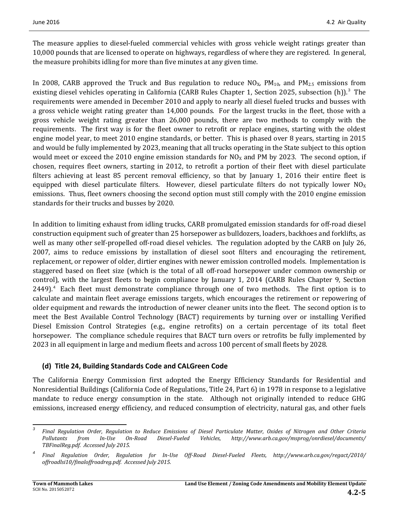The measure applies to diesel-fueled commercial vehicles with gross vehicle weight ratings greater than 10,000 pounds that are licensed to operate on highways, regardless of where they are registered. In general, the measure prohibits idling for more than five minutes at any given time.

In 2008, CARB approved the Truck and Bus regulation to reduce  $NO_{X}$ ,  $PM_{10}$ , and  $PM_{2.5}$  emissions from existing diesel vehicles operating in California (CARB Rules Chapter 1, Section 2025, subsection  $(h)$ ).<sup>[3](#page-4-0)</sup> The requirements were amended in December 2010 and apply to nearly all diesel fueled trucks and busses with a gross vehicle weight rating greater than 14,000 pounds. For the largest trucks in the fleet, those with a gross vehicle weight rating greater than 26,000 pounds, there are two methods to comply with the requirements. The first way is for the fleet owner to retrofit or replace engines, starting with the oldest engine model year, to meet 2010 engine standards, or better. This is phased over 8 years, starting in 2015 and would be fully implemented by 2023, meaning that all trucks operating in the State subject to this option would meet or exceed the 2010 engine emission standards for  $NO<sub>X</sub>$  and PM by 2023. The second option, if chosen, requires fleet owners, starting in 2012, to retrofit a portion of their fleet with diesel particulate filters achieving at least 85 percent removal efficiency, so that by January 1, 2016 their entire fleet is equipped with diesel particulate filters. However, diesel particulate filters do not typically lower  $NO<sub>X</sub>$ emissions. Thus, fleet owners choosing the second option must still comply with the 2010 engine emission standards for their trucks and busses by 2020.

In addition to limiting exhaust from idling trucks, CARB promulgated emission standards for off-road diesel construction equipment such of greater than 25 horsepower as bulldozers, loaders, backhoes and forklifts, as well as many other self-propelled off-road diesel vehicles. The regulation adopted by the CARB on July 26, 2007, aims to reduce emissions by installation of diesel soot filters and encouraging the retirement, replacement, or repower of older, dirtier engines with newer emission controlled models. Implementation is staggered based on fleet size (which is the total of all off-road horsepower under common ownership or control), with the largest fleets to begin compliance by January 1, 2014 (CARB Rules Chapter 9, Section 2[4](#page-4-1)49).<sup>4</sup> Each fleet must demonstrate compliance through one of two methods. The first option is to calculate and maintain fleet average emissions targets, which encourages the retirement or repowering of older equipment and rewards the introduction of newer cleaner units into the fleet. The second option is to meet the Best Available Control Technology (BACT) requirements by turning over or installing Verified Diesel Emission Control Strategies (e.g., engine retrofits) on a certain percentage of its total fleet horsepower. The compliance schedule requires that BACT turn overs or retrofits be fully implemented by 2023 in all equipment in large and medium fleets and across 100 percent of small fleets by 2028.

### **(d) Title 24, Building Standards Code and CALGreen Code**

The California Energy Commission first adopted the Energy Efficiency Standards for Residential and Nonresidential Buildings (California Code of Regulations, Title 24, Part 6) in 1978 in response to a legislative mandate to reduce energy consumption in the state. Although not originally intended to reduce GHG emissions, increased energy efficiency, and reduced consumption of electricity, natural gas, and other fuels

<span id="page-4-0"></span>*<sup>3</sup> Final Regulation Order, Regulation to Reduce Emissions of Diesel Particulate Matter, Oxides of Nitrogen and Other Criteria Pollutants from In-Use On-Road Diesel-Fueled Vehicles, http://www.arb.ca.gov/msprog/onrdiesel/documents/ TBFinalReg.pdf. Accessed July 2015.*

<span id="page-4-1"></span>*<sup>4</sup> Final Regulation Order, Regulation for In-Use Off-Road Diesel-Fueled Fleets, http://www.arb.ca.gov/regact/2010/ offroadlsi10/finaloffroadreg.pdf. Accessed July 2015.*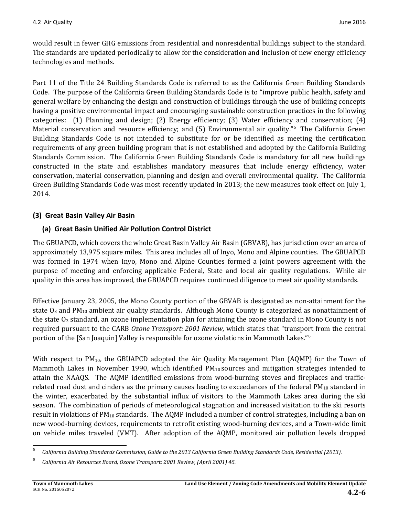would result in fewer GHG emissions from residential and nonresidential buildings subject to the standard. The standards are updated periodically to allow for the consideration and inclusion of new energy efficiency technologies and methods.

Part 11 of the Title 24 Building Standards Code is referred to as the California Green Building Standards Code. The purpose of the California Green Building Standards Code is to "improve public health, safety and general welfare by enhancing the design and construction of buildings through the use of building concepts having a positive environmental impact and encouraging sustainable construction practices in the following categories: (1) Planning and design; (2) Energy efficiency; (3) Water efficiency and conservation; (4) Material conservation and resource efficiency; and ([5](#page-5-0)) Environmental air quality."<sup>5</sup> The California Green Building Standards Code is not intended to substitute for or be identified as meeting the certification requirements of any green building program that is not established and adopted by the California Building Standards Commission. The California Green Building Standards Code is mandatory for all new buildings constructed in the state and establishes mandatory measures that include energy efficiency, water conservation, material conservation, planning and design and overall environmental quality. The California Green Building Standards Code was most recently updated in 2013; the new measures took effect on July 1, 2014.

### **(3) Great Basin Valley Air Basin**

### **(a) Great Basin Unified Air Pollution Control District**

The GBUAPCD, which covers the whole Great Basin Valley Air Basin (GBVAB), has jurisdiction over an area of approximately 13,975 square miles. This area includes all of Inyo, Mono and Alpine counties. The GBUAPCD was formed in 1974 when Inyo, Mono and Alpine Counties formed a joint powers agreement with the purpose of meeting and enforcing applicable Federal, State and local air quality regulations. While air quality in this area has improved, the GBUAPCD requires continued diligence to meet air quality standards.

Effective January 23, 2005, the Mono County portion of the GBVAB is designated as non-attainment for the state  $O_3$  and PM<sub>10</sub> ambient air quality standards. Although Mono County is categorized as nonattainment of the state O<sub>3</sub> standard, an ozone implementation plan for attaining the ozone standard in Mono County is not required pursuant to the CARB *Ozone Transport: 2001 Review*, which states that "transport from the central portion of the [San Joaquin] Valley is responsible for ozone violations in Mammoth Lakes."[6](#page-5-1)

With respect to  $PM_{10}$ , the GBUAPCD adopted the Air Quality Management Plan (AQMP) for the Town of Mammoth Lakes in November 1990, which identified  $PM_{10}$  sources and mitigation strategies intended to attain the NAAQS. The AQMP identified emissions from wood-burning stoves and fireplaces and trafficrelated road dust and cinders as the primary causes leading to exceedances of the federal  $PM_{10}$  standard in the winter, exacerbated by the substantial influx of visitors to the Mammoth Lakes area during the ski season. The combination of periods of meteorological stagnation and increased visitation to the ski resorts result in violations of  $PM_{10}$  standards. The AQMP included a number of control strategies, including a ban on new wood-burning devices, requirements to retrofit existing wood-burning devices, and a Town-wide limit on vehicle miles traveled (VMT). After adoption of the AQMP, monitored air pollution levels dropped

<span id="page-5-0"></span>*<sup>5</sup> California Building Standards Commission, Guide to the 2013 California Green Building Standards Code, Residential (2013).*

<span id="page-5-1"></span>*<sup>6</sup> California Air Resources Board, Ozone Transport: 2001 Review, (April 2001) 45.*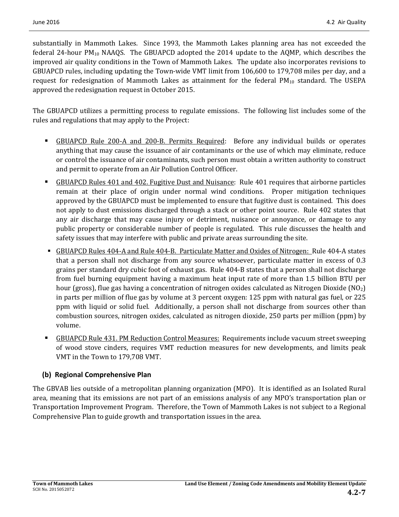substantially in Mammoth Lakes. Since 1993, the Mammoth Lakes planning area has not exceeded the federal 24-hour  $PM_{10}$  NAAQS. The GBUAPCD adopted the 2014 update to the AQMP, which describes the improved air quality conditions in the Town of Mammoth Lakes. The update also incorporates revisions to GBUAPCD rules, including updating the Town-wide VMT limit from 106,600 to 179,708 miles per day, and a request for redesignation of Mammoth Lakes as attainment for the federal  $PM_{10}$  standard. The USEPA approved the redesignation request in October 2015.

The GBUAPCD utilizes a permitting process to regulate emissions. The following list includes some of the rules and regulations that may apply to the Project:

- **GBUAPCD Rule 200-A and 200-B. Permits Required:** Before any individual builds or operates anything that may cause the issuance of air contaminants or the use of which may eliminate, reduce or control the issuance of air contaminants, such person must obtain a written authority to construct and permit to operate from an Air Pollution Control Officer.
- GBUAPCD Rules 401 and 402. Fugitive Dust and Nuisance: Rule 401 requires that airborne particles remain at their place of origin under normal wind conditions. Proper mitigation techniques approved by the GBUAPCD must be implemented to ensure that fugitive dust is contained. This does not apply to dust emissions discharged through a stack or other point source. Rule 402 states that any air discharge that may cause injury or detriment, nuisance or annoyance, or damage to any public property or considerable number of people is regulated. This rule discusses the health and safety issues that may interfere with public and private areas surrounding the site.
- GBUAPCD Rules 404-A and Rule 404-B. Particulate Matter and Oxides of Nitrogen: Rule 404-A states that a person shall not discharge from any source whatsoever, particulate matter in excess of 0.3 grains per standard dry cubic foot of exhaust gas. Rule 404-B states that a person shall not discharge from fuel burning equipment having a maximum heat input rate of more than 1.5 billion BTU per hour (gross), flue gas having a concentration of nitrogen oxides calculated as Nitrogen Dioxide ( $NO<sub>2</sub>$ ) in parts per million of flue gas by volume at 3 percent oxygen: 125 ppm with natural gas fuel, or 225 ppm with liquid or solid fuel. Additionally, a person shall not discharge from sources other than combustion sources, nitrogen oxides, calculated as nitrogen dioxide, 250 parts per million (ppm) by volume.
- GBUAPCD Rule 431. PM Reduction Control Measures: Requirements include vacuum street sweeping of wood stove cinders, requires VMT reduction measures for new developments, and limits peak VMT in the Town to 179,708 VMT.

### **(b) Regional Comprehensive Plan**

The GBVAB lies outside of a metropolitan planning organization (MPO). It is identified as an Isolated Rural area, meaning that its emissions are not part of an emissions analysis of any MPO's transportation plan or Transportation Improvement Program. Therefore, the Town of Mammoth Lakes is not subject to a Regional Comprehensive Plan to guide growth and transportation issues in the area.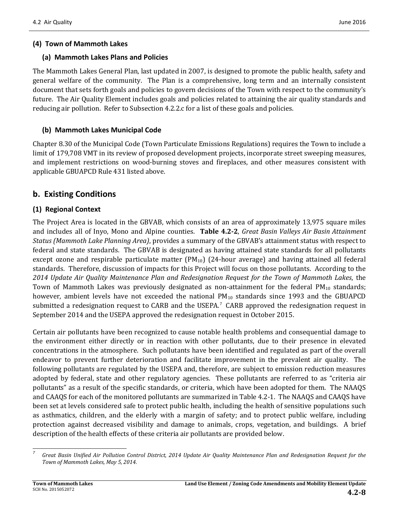### **(4) Town of Mammoth Lakes**

#### **(a) Mammoth Lakes Plans and Policies**

The Mammoth Lakes General Plan, last updated in 2007, is designed to promote the public health, safety and general welfare of the community. The Plan is a comprehensive, long term and an internally consistent document that sets forth goals and policies to govern decisions of the Town with respect to the community's future. The Air Quality Element includes goals and policies related to attaining the air quality standards and reducing air pollution. Refer to Subsection 4.2.2.c for a list of these goals and policies.

## **(b) Mammoth Lakes Municipal Code**

Chapter 8.30 of the Municipal Code (Town Particulate Emissions Regulations) requires the Town to include a limit of 179,708 VMT in its review of proposed development projects, incorporate street sweeping measures, and implement restrictions on wood-burning stoves and fireplaces, and other measures consistent with applicable GBUAPCD Rule 431 listed above.

## **b. Existing Conditions**

## **(1) Regional Context**

The Project Area is located in the GBVAB, which consists of an area of approximately 13,975 square miles and includes all of Inyo, Mono and Alpine counties. **Table 4.2-2**, *Great Basin Valleys Air Basin Attainment Status (Mammoth Lake Planning Area)*, provides a summary of the GBVAB's attainment status with respect to federal and state standards. The GBVAB is designated as having attained state standards for all pollutants except ozone and respirable particulate matter  $(PM_{10})$  (24-hour average) and having attained all federal standards. Therefore, discussion of impacts for this Project will focus on those pollutants. According to the *2014 Update Air Quality Maintenance Plan and Redesignation Request for the Town of Mammoth Lakes*, the Town of Mammoth Lakes was previously designated as non-attainment for the federal  $PM_{10}$  standards; however, ambient levels have not exceeded the national  $PM_{10}$  standards since 1993 and the GBUAPCD submitted a redesignation request to CARB and the USEPA.<sup>[7](#page-7-0)</sup> CARB approved the redesignation request in September 2014 and the USEPA approved the redesignation request in October 2015.

Certain air pollutants have been recognized to cause notable health problems and consequential damage to the environment either directly or in reaction with other pollutants, due to their presence in elevated concentrations in the atmosphere. Such pollutants have been identified and regulated as part of the overall endeavor to prevent further deterioration and facilitate improvement in the prevalent air quality. The following pollutants are regulated by the USEPA and, therefore, are subject to emission reduction measures adopted by federal, state and other regulatory agencies. These pollutants are referred to as "criteria air pollutants" as a result of the specific standards, or criteria, which have been adopted for them. The NAAQS and CAAQS for each of the monitored pollutants are summarized in Table 4.2-1. The NAAQS and CAAQS have been set at levels considered safe to protect public health, including the health of sensitive populations such as asthmatics, children, and the elderly with a margin of safety; and to protect public welfare, including protection against decreased visibility and damage to animals, crops, vegetation, and buildings. A brief description of the health effects of these criteria air pollutants are provided below.

<span id="page-7-0"></span>*<sup>7</sup> Great Basin Unified Air Pollution Control District, 2014 Update Air Quality Maintenance Plan and Redesignation Request for the Town of Mammoth Lakes, May 5, 2014.*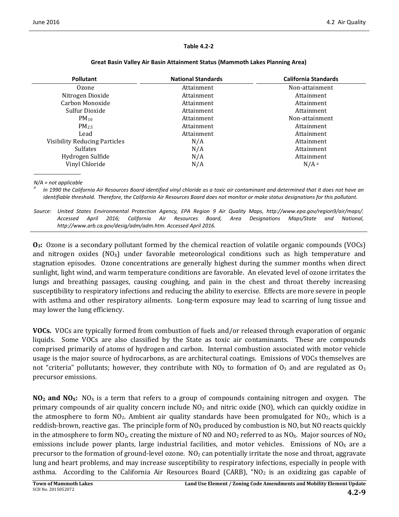#### **Table 4.2-2**

| <b>Pollutant</b>                     | <b>National Standards</b> | <b>California Standards</b> |
|--------------------------------------|---------------------------|-----------------------------|
| Ozone                                | Attainment                | Non-attainment              |
| Nitrogen Dioxide                     | Attainment                | Attainment                  |
| Carbon Monoxide                      | Attainment                | Attainment                  |
| Sulfur Dioxide                       | Attainment                | Attainment                  |
| $PM_{10}$                            | Attainment                | Non-attainment              |
| $PM_{2.5}$                           | Attainment                | Attainment                  |
| Lead                                 | Attainment                | Attainment                  |
| <b>Visibility Reducing Particles</b> | N/A                       | Attainment                  |
| <b>Sulfates</b>                      | N/A                       | Attainment                  |
| Hydrogen Sulfide                     | N/A                       | Attainment                  |
| Vinyl Chloride                       | N/A                       | $N/A^a$                     |

#### **Great Basin Valley Air Basin Attainment Status (Mammoth Lakes Planning Area)**

*N/A = not applicable*

*<sup>a</sup> In 1990 the California Air Resources Board identified vinyl chloride as a toxic air contaminant and determined that it does not have an identifiable threshold. Therefore, the California Air Resources Board does not monitor or make status designations for this pollutant.*

*Source: United States Environmental Protection Agency, EPA Region 9 Air Quality Maps, http://www.epa.gov/region9/air/maps/. Accessed April 2016; California Air Resources Board, Area Designations Maps/State and National, http://www.arb.ca.gov/desig/adm/adm.htm. Accessed April 2016.*

**O<sub>3</sub>:** Ozone is a secondary pollutant formed by the chemical reaction of volatile organic compounds (VOCs) and nitrogen oxides  $(NO<sub>x</sub>)$  under favorable meteorological conditions such as high temperature and stagnation episodes. Ozone concentrations are generally highest during the summer months when direct sunlight, light wind, and warm temperature conditions are favorable. An elevated level of ozone irritates the lungs and breathing passages, causing coughing, and pain in the chest and throat thereby increasing susceptibility to respiratory infections and reducing the ability to exercise. Effects are more severe in people with asthma and other respiratory ailments. Long-term exposure may lead to scarring of lung tissue and may lower the lung efficiency.

**VOCs.** VOCs are typically formed from combustion of fuels and/or released through evaporation of organic liquids. Some VOCs are also classified by the State as toxic air contaminants. These are compounds comprised primarily of atoms of hydrogen and carbon. Internal combustion associated with motor vehicle usage is the major source of hydrocarbons, as are architectural coatings. Emissions of VOCs themselves are not "criteria" pollutants; however, they contribute with  $NO<sub>X</sub>$  to formation of  $O<sub>3</sub>$  and are regulated as  $O<sub>3</sub>$ precursor emissions.

**NO<sub>2</sub> and NO<sub>x</sub>:** NO<sub>x</sub> is a term that refers to a group of compounds containing nitrogen and oxygen. The primary compounds of air quality concern include  $NO<sub>2</sub>$  and nitric oxide (NO), which can quickly oxidize in the atmosphere to form  $NO<sub>2</sub>$ . Ambient air quality standards have been promulgated for  $NO<sub>2</sub>$ , which is a reddish-brown, reactive gas. The principle form of  $NO<sub>x</sub>$  produced by combustion is NO, but NO reacts quickly in the atmosphere to form  $NO<sub>2</sub>$ , creating the mixture of NO and  $NO<sub>2</sub>$  referred to as  $NO<sub>X</sub>$ . Major sources of  $NO<sub>X</sub>$ emissions include power plants, large industrial facilities, and motor vehicles. Emissions of  $N_0$  are a precursor to the formation of ground-level ozone.  $NO_2$  can potentially irritate the nose and throat, aggravate lung and heart problems, and may increase susceptibility to respiratory infections, especially in people with asthma. According to the California Air Resources Board (CARB), "NO<sub>2</sub> is an oxidizing gas capable of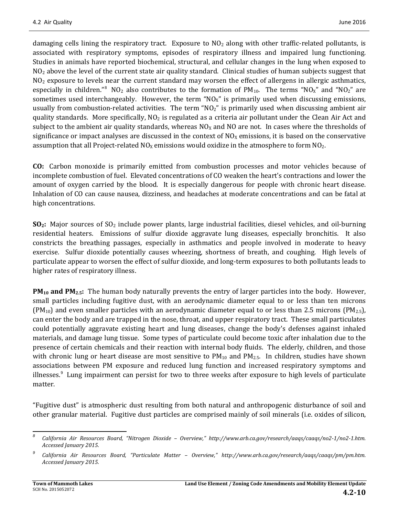damaging cells lining the respiratory tract. Exposure to  $NO<sub>2</sub>$  along with other traffic-related pollutants, is associated with respiratory symptoms, episodes of respiratory illness and impaired lung functioning. Studies in animals have reported biochemical, structural, and cellular changes in the lung when exposed to NO<sub>2</sub> above the level of the current state air quality standard. Clinical studies of human subjects suggest that NO<sub>2</sub> exposure to levels near the current standard may worsen the effect of allergens in allergic asthmatics, especially in children." $8\,$  $8\,$  NO<sub>2</sub> also contributes to the formation of PM<sub>10</sub>. The terms "NO<sub>X</sub>" and "NO<sub>2</sub>" are sometimes used interchangeably. However, the term " $NO<sub>X</sub>$ " is primarily used when discussing emissions, usually from combustion-related activities. The term " $NO<sub>2</sub>$ " is primarily used when discussing ambient air quality standards. More specifically,  $NO<sub>2</sub>$  is regulated as a criteria air pollutant under the Clean Air Act and subject to the ambient air quality standards, whereas  $NO<sub>X</sub>$  and NO are not. In cases where the thresholds of significance or impact analyses are discussed in the context of  $NO<sub>X</sub>$  emissions, it is based on the conservative assumption that all Project-related  $NO<sub>X</sub>$  emissions would oxidize in the atmosphere to form  $NO<sub>2</sub>$ .

**CO:**Carbon monoxide is primarily emitted from combustion processes and motor vehicles because of incomplete combustion of fuel. Elevated concentrations of CO weaken the heart's contractions and lower the amount of oxygen carried by the blood. It is especially dangerous for people with chronic heart disease. Inhalation of CO can cause nausea, dizziness, and headaches at moderate concentrations and can be fatal at high concentrations.

**SO2:**Major sources of SO2 include power plants, large industrial facilities, diesel vehicles, and oil-burning residential heaters. Emissions of sulfur dioxide aggravate lung diseases, especially bronchitis. It also constricts the breathing passages, especially in asthmatics and people involved in moderate to heavy exercise. Sulfur dioxide potentially causes wheezing, shortness of breath, and coughing. High levels of particulate appear to worsen the effect of sulfur dioxide, and long-term exposures to both pollutants leads to higher rates of respiratory illness.

**PM<sub>10</sub> and PM<sub>2.5</sub>:** The human body naturally prevents the entry of larger particles into the body. However, small particles including fugitive dust, with an aerodynamic diameter equal to or less than ten microns  $(PM_{10})$  and even smaller particles with an aerodynamic diameter equal to or less than 2.5 microns  $(PM_{2.5})$ , can enter the body and are trapped in the nose, throat, and upper respiratory tract. These small particulates could potentially aggravate existing heart and lung diseases, change the body's defenses against inhaled materials, and damage lung tissue. Some types of particulate could become toxic after inhalation due to the presence of certain chemicals and their reaction with internal body fluids. The elderly, children, and those with chronic lung or heart disease are most sensitive to  $PM_{10}$  and  $PM_{2.5}$ . In children, studies have shown associations between PM exposure and reduced lung function and increased respiratory symptoms and illnesses.<sup>[9](#page-9-1)</sup> Lung impairment can persist for two to three weeks after exposure to high levels of particulate matter.

"Fugitive dust" is atmospheric dust resulting from both natural and anthropogenic disturbance of soil and other granular material. Fugitive dust particles are comprised mainly of soil minerals (i.e. oxides of silicon,

<span id="page-9-0"></span>*<sup>8</sup> California Air Resources Board, "Nitrogen Dioxide – Overview," http://www.arb.ca.gov/research/aaqs/caaqs/no2-1/no2-1.htm. Accessed January 2015.*

<span id="page-9-1"></span>*<sup>9</sup> California Air Resources Board, "Particulate Matter – Overview," http://www.arb.ca.gov/research/aaqs/caaqs/pm/pm.htm. Accessed January 2015.*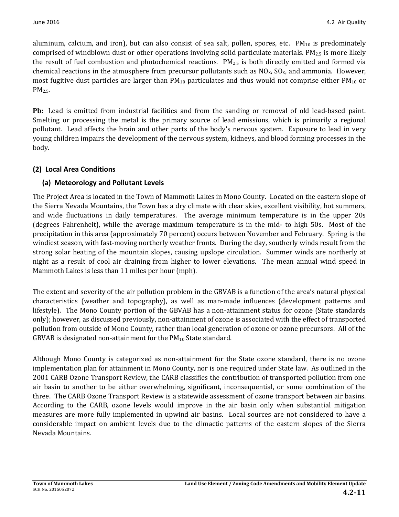aluminum, calcium, and iron), but can also consist of sea salt, pollen, spores, etc.  $PM_{10}$  is predominately comprised of windblown dust or other operations involving solid particulate materials.  $PM_{2.5}$  is more likely the result of fuel combustion and photochemical reactions. PM2.5 is both directly emitted and formed via chemical reactions in the atmosphere from precursor pollutants such as  $NO<sub>X</sub>$ ,  $SO<sub>X</sub>$ , and ammonia. However, most fugitive dust particles are larger than  $PM_{10}$  particulates and thus would not comprise either  $PM_{10}$  or  $PM<sub>2.5</sub>$ .

**Pb:** Lead is emitted from industrial facilities and from the sanding or removal of old lead-based paint. Smelting or processing the metal is the primary source of lead emissions, which is primarily a regional pollutant. Lead affects the brain and other parts of the body's nervous system. Exposure to lead in very young children impairs the development of the nervous system, kidneys, and blood forming processes in the body.

## **(2) Local Area Conditions**

## **(a) Meteorology and Pollutant Levels**

The Project Area is located in the Town of Mammoth Lakes in Mono County. Located on the eastern slope of the Sierra Nevada Mountains, the Town has a dry climate with clear skies, excellent visibility, hot summers, and wide fluctuations in daily temperatures. The average minimum temperature is in the upper 20s (degrees Fahrenheit), while the average maximum temperature is in the mid- to high 50s. Most of the precipitation in this area (approximately 70 percent) occurs between November and February. Spring is the windiest season, with fast-moving northerly weather fronts. During the day, southerly winds result from the strong solar heating of the mountain slopes, causing upslope circulation. Summer winds are northerly at night as a result of cool air draining from higher to lower elevations. The mean annual wind speed in Mammoth Lakes is less than 11 miles per hour (mph).

The extent and severity of the air pollution problem in the GBVAB is a function of the area's natural physical characteristics (weather and topography), as well as man-made influences (development patterns and lifestyle). The Mono County portion of the GBVAB has a non-attainment status for ozone (State standards only); however, as discussed previously, non-attainment of ozone is associated with the effect of transported pollution from outside of Mono County, rather than local generation of ozone or ozone precursors. All of the GBVAB is designated non-attainment for the  $PM_{10}$  State standard.

Although Mono County is categorized as non-attainment for the State ozone standard, there is no ozone implementation plan for attainment in Mono County, nor is one required under State law. As outlined in the 2001 CARB Ozone Transport Review, the CARB classifies the contribution of transported pollution from one air basin to another to be either overwhelming, significant, inconsequential, or some combination of the three. The CARB Ozone Transport Review is a statewide assessment of ozone transport between air basins. According to the CARB, ozone levels would improve in the air basin only when substantial mitigation measures are more fully implemented in upwind air basins. Local sources are not considered to have a considerable impact on ambient levels due to the climactic patterns of the eastern slopes of the Sierra Nevada Mountains.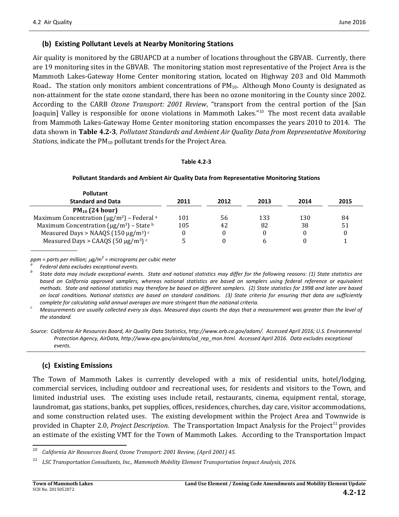#### **(b) Existing Pollutant Levels at Nearby Monitoring Stations**

Air quality is monitored by the GBUAPCD at a number of locations throughout the GBVAB. Currently, there are 19 monitoring sites in the GBVAB. The monitoring station most representative of the Project Area is the Mammoth Lakes-Gateway Home Center monitoring station, located on Highway 203 and Old Mammoth Road.. The station only monitors ambient concentrations of  $PM_{10}$ . Although Mono County is designated as non-attainment for the state ozone standard, there has been no ozone monitoring in the County since 2002. According to the CARB *Ozone Transport: 2001 Review*, "transport from the central portion of the [San Joaquin] Valley is responsible for ozone violations in Mammoth Lakes."<sup>[10](#page-11-0)</sup> The most recent data available from Mammoth Lakes-Gateway Home Center monitoring station encompasses the years 2010 to 2014. The data shown in **Table 4.2-3**, *Pollutant Standards and Ambient Air Quality Data from Representative Monitoring Stations*, indicate the PM<sub>10</sub> pollutant trends for the Project Area.

#### **Table 4.2-3**

#### **Pollutant Standards and Ambient Air Quality Data from Representative Monitoring Stations**

| <b>Pollutant</b>                                                        |      |      |      |      |      |
|-------------------------------------------------------------------------|------|------|------|------|------|
| <b>Standard and Data</b>                                                | 2011 | 2012 | 2013 | 2014 | 2015 |
| $PM_{10}$ (24 hour)                                                     |      |      |      |      |      |
| Maximum Concentration ( $\mu$ g/m <sup>3</sup> ) – Federal <sup>a</sup> | 101  | 56   | 133  | 130  | 84   |
| Maximum Concentration ( $\mu$ g/m <sup>3</sup> ) – State b              | 105  | 42   | 82   | 38   | 51   |
| Measured Days > NAAQS (150 $\mu$ g/m <sup>3</sup> ) <sup>c</sup>        | 0    |      |      | 0    |      |
| Measured Days > CAAQS (50 $\mu$ g/m <sup>3</sup> ) <sup>c</sup>         |      |      | h    |      |      |

ppm = parts per million; µg/m<sup>3</sup> = micrograms per cubic meter<br><sup>a</sup> Federal data excludes exceptional events.<br><sup>b</sup> State data may include exceptional events. State and national statistics may differ for the followina reasons: *based on California approved samplers, whereas national statistics are based on samplers using federal reference or equivalent methods. State and national statistics may therefore be based on different samplers. (2) State statistics for 1998 and later are based on local conditions. National statistics are based on standard conditions. (3) State criteria for ensuring that data are sufficiently* 

complete for calculating valid annual averages are more stringent than the national criteria.<br>Calconal criteria. Measurements are usually collected every six days. Measured days counts the days that a measurement was grea *the standard.* 

### **(c) Existing Emissions**

The Town of Mammoth Lakes is currently developed with a mix of residential units, hotel/lodging, commercial services, including outdoor and recreational uses, for residents and visitors to the Town, and limited industrial uses. The existing uses include retail, restaurants, cinema, equipment rental, storage, laundromat, gas stations, banks, pet supplies, offices, residences, churches, day care, visitor accommodations, and some construction related uses. The existing development within the Project Area and Townwide is provided in Chapter 2.0, *Project Description*. The Transportation Impact Analysis for the Project<sup>[11](#page-11-1)</sup> provides an estimate of the existing VMT for the Town of Mammoth Lakes. According to the Transportation Impact

*Source: California Air Resources Board, Air Quality Data Statistics, http://www.arb.ca.gov/adam/. Accessed April 2016; U.S. Environmental Protection Agency, AirData, http://www.epa.gov/airdata/ad\_rep\_mon.html. Accessed April 2016. Data excludes exceptional events.*

<span id="page-11-0"></span>*<sup>10</sup> California Air Resources Board, Ozone Transport: 2001 Review, (April 2001) 45.*

<span id="page-11-1"></span>*<sup>11</sup> LSC Transportation Consultants, Inc., Mammoth Mobility Element Transportation Impact Analysis, 2016.*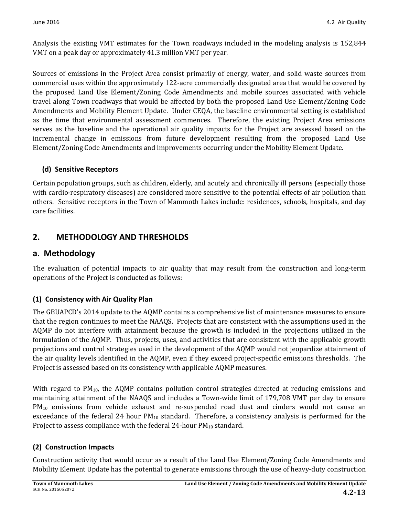Analysis the existing VMT estimates for the Town roadways included in the modeling analysis is 152,844 VMT on a peak day or approximately 41.3 million VMT per year.

Sources of emissions in the Project Area consist primarily of energy, water, and solid waste sources from commercial uses within the approximately 122-acre commercially designated area that would be covered by the proposed Land Use Element/Zoning Code Amendments and mobile sources associated with vehicle travel along Town roadways that would be affected by both the proposed Land Use Element/Zoning Code Amendments and Mobility Element Update. Under CEQA, the baseline environmental setting is established as the time that environmental assessment commences. Therefore, the existing Project Area emissions serves as the baseline and the operational air quality impacts for the Project are assessed based on the incremental change in emissions from future development resulting from the proposed Land Use Element/Zoning Code Amendments and improvements occurring under the Mobility Element Update.

## **(d) Sensitive Receptors**

Certain population groups, such as children, elderly, and acutely and chronically ill persons (especially those with cardio-respiratory diseases) are considered more sensitive to the potential effects of air pollution than others. Sensitive receptors in the Town of Mammoth Lakes include: residences, schools, hospitals, and day care facilities.

## **2. METHODOLOGY AND THRESHOLDS**

## **a. Methodology**

The evaluation of potential impacts to air quality that may result from the construction and long-term operations of the Project is conducted as follows:

## **(1) Consistency with Air Quality Plan**

The GBUAPCD's 2014 update to the AQMP contains a comprehensive list of maintenance measures to ensure that the region continues to meet the NAAQS. Projects that are consistent with the assumptions used in the AQMP do not interfere with attainment because the growth is included in the projections utilized in the formulation of the AQMP. Thus, projects, uses, and activities that are consistent with the applicable growth projections and control strategies used in the development of the AQMP would not jeopardize attainment of the air quality levels identified in the AQMP, even if they exceed project-specific emissions thresholds. The Project is assessed based on its consistency with applicable AQMP measures.

With regard to  $PM_{10}$ , the AQMP contains pollution control strategies directed at reducing emissions and maintaining attainment of the NAAQS and includes a Town-wide limit of 179,708 VMT per day to ensure PM<sub>10</sub> emissions from vehicle exhaust and re-suspended road dust and cinders would not cause an exceedance of the federal 24 hour  $PM_{10}$  standard. Therefore, a consistency analysis is performed for the Project to assess compliance with the federal 24-hour  $PM_{10}$  standard.

## **(2) Construction Impacts**

Construction activity that would occur as a result of the Land Use Element/Zoning Code Amendments and Mobility Element Update has the potential to generate emissions through the use of heavy-duty construction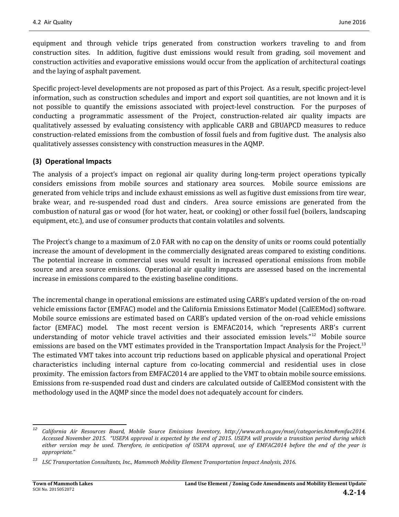equipment and through vehicle trips generated from construction workers traveling to and from construction sites. In addition, fugitive dust emissions would result from grading, soil movement and construction activities and evaporative emissions would occur from the application of architectural coatings and the laying of asphalt pavement.

Specific project-level developments are not proposed as part of this Project. As a result, specific project-level information, such as construction schedules and import and export soil quantities, are not known and it is not possible to quantify the emissions associated with project-level construction. For the purposes of conducting a programmatic assessment of the Project, construction-related air quality impacts are qualitatively assessed by evaluating consistency with applicable CARB and GBUAPCD measures to reduce construction-related emissions from the combustion of fossil fuels and from fugitive dust. The analysis also qualitatively assesses consistency with construction measures in the AQMP.

### **(3) Operational Impacts**

The analysis of a project's impact on regional air quality during long-term project operations typically considers emissions from mobile sources and stationary area sources. Mobile source emissions are generated from vehicle trips and include exhaust emissions as well as fugitive dust emissions from tire wear, brake wear, and re-suspended road dust and cinders. Area source emissions are generated from the combustion of natural gas or wood (for hot water, heat, or cooking) or other fossil fuel (boilers, landscaping equipment, etc.), and use of consumer products that contain volatiles and solvents.

The Project's change to a maximum of 2.0 FAR with no cap on the density of units or rooms could potentially increase the amount of development in the commercially designated areas compared to existing conditions. The potential increase in commercial uses would result in increased operational emissions from mobile source and area source emissions. Operational air quality impacts are assessed based on the incremental increase in emissions compared to the existing baseline conditions.

The incremental change in operational emissions are estimated using CARB's updated version of the on-road vehicle emissions factor (EMFAC) model and the California Emissions Estimator Model (CalEEMod) software. Mobile source emissions are estimated based on CARB's updated version of the on-road vehicle emissions factor (EMFAC) model. The most recent version is EMFAC2014, which "represents ARB's current understanding of motor vehicle travel activities and their associated emission levels."<sup>[12](#page-13-0)</sup> Mobile source emissions are based on the VMT estimates provided in the Transportation Impact Analysis for the Project.<sup>[13](#page-13-1)</sup> The estimated VMT takes into account trip reductions based on applicable physical and operational Project characteristics including internal capture from co-locating commercial and residential uses in close proximity. The emission factors from EMFAC2014 are applied to the VMT to obtain mobile source emissions. Emissions from re-suspended road dust and cinders are calculated outside of CalEEMod consistent with the methodology used in the AQMP since the model does not adequately account for cinders.

<span id="page-13-0"></span>*<sup>12</sup> California Air Resources Board, Mobile Source Emissions Inventory, http://www.arb.ca.gov/msei/categories.htm#emfac2014. Accessed November 2015. "USEPA approval is expected by the end of 2015. USEPA will provide a transition period during which either version may be used. Therefore, in anticipation of USEPA approval, use of EMFAC2014 before the end of the year is appropriate."*

<span id="page-13-1"></span>*<sup>13</sup> LSC Transportation Consultants, Inc., Mammoth Mobility Element Transportation Impact Analysis, 2016.*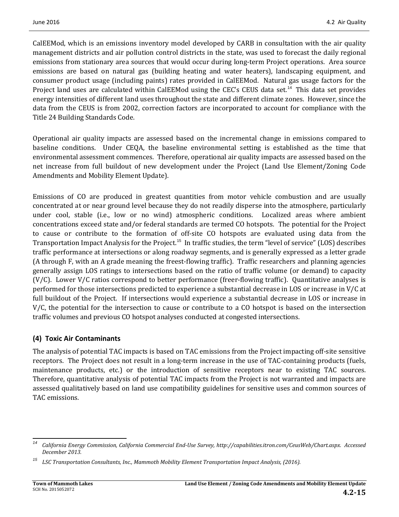CalEEMod, which is an emissions inventory model developed by CARB in consultation with the air quality management districts and air pollution control districts in the state, was used to forecast the daily regional emissions from stationary area sources that would occur during long-term Project operations. Area source emissions are based on natural gas (building heating and water heaters), landscaping equipment, and consumer product usage (including paints) rates provided in CalEEMod. Natural gas usage factors for the Project land uses are calculated within CalEEMod using the CEC's CEUS data set.<sup>[14](#page-14-0)</sup> This data set provides energy intensities of different land uses throughout the state and different climate zones. However, since the data from the CEUS is from 2002, correction factors are incorporated to account for compliance with the Title 24 Building Standards Code.

Operational air quality impacts are assessed based on the incremental change in emissions compared to baseline conditions. Under CEQA, the baseline environmental setting is established as the time that environmental assessment commences. Therefore, operational air quality impacts are assessed based on the net increase from full buildout of new development under the Project (Land Use Element/Zoning Code Amendments and Mobility Element Update).

Emissions of CO are produced in greatest quantities from motor vehicle combustion and are usually concentrated at or near ground level because they do not readily disperse into the atmosphere, particularly under cool, stable (i.e., low or no wind) atmospheric conditions. Localized areas where ambient concentrations exceed state and/or federal standards are termed CO hotspots. The potential for the Project to cause or contribute to the formation of off-site CO hotspots are evaluated using data from the Transportation Impact Analysis for the Project.<sup>[15](#page-14-1)</sup> In traffic studies, the term "level of service" (LOS) describes traffic performance at intersections or along roadway segments, and is generally expressed as a letter grade (A through F, with an A grade meaning the freest-flowing traffic). Traffic researchers and planning agencies generally assign LOS ratings to intersections based on the ratio of traffic volume (or demand) to capacity (V/C). Lower V/C ratios correspond to better performance (freer-flowing traffic). Quantitative analyses is performed for those intersections predicted to experience a substantial decrease in LOS or increase in V/C at full buildout of the Project. If intersections would experience a substantial decrease in LOS or increase in V/C, the potential for the intersection to cause or contribute to a CO hotspot is based on the intersection traffic volumes and previous CO hotspot analyses conducted at congested intersections.

#### **(4) Toxic Air Contaminants**

The analysis of potential TAC impacts is based on TAC emissions from the Project impacting off-site sensitive receptors. The Project does not result in a long-term increase in the use of TAC-containing products (fuels, maintenance products, etc.) or the introduction of sensitive receptors near to existing TAC sources. Therefore, quantitative analysis of potential TAC impacts from the Project is not warranted and impacts are assessed qualitatively based on land use compatibility guidelines for sensitive uses and common sources of TAC emissions.

<span id="page-14-0"></span>*<sup>14</sup> California Energy Commission, California Commercial End-Use Survey, http://capabilities.itron.com/CeusWeb/Chart.aspx. Accessed December 2013.*

<span id="page-14-1"></span>*<sup>15</sup> LSC Transportation Consultants, Inc., Mammoth Mobility Element Transportation Impact Analysis, (2016).*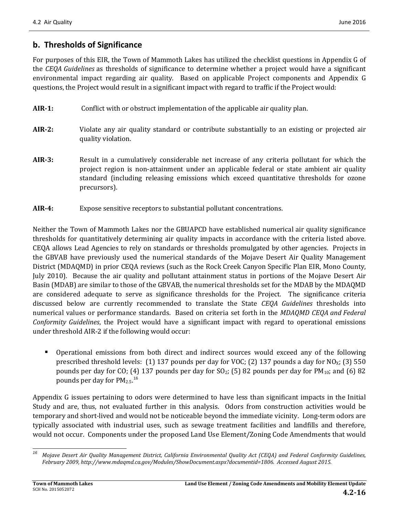## **b. Thresholds of Significance**

For purposes of this EIR, the Town of Mammoth Lakes has utilized the checklist questions in Appendix G of the *CEQA Guidelines* as thresholds of significance to determine whether a project would have a significant environmental impact regarding air quality. Based on applicable Project components and Appendix G questions, the Project would result in a significant impact with regard to traffic if the Project would:

- **AIR-1:** Conflict with or obstruct implementation of the applicable air quality plan.
- **AIR-2:** Violate any air quality standard or contribute substantially to an existing or projected air quality violation.
- **AIR-3:** Result in a cumulatively considerable net increase of any criteria pollutant for which the project region is non-attainment under an applicable federal or state ambient air quality standard (including releasing emissions which exceed quantitative thresholds for ozone precursors).
- **AIR-4:** Expose sensitive receptors to substantial pollutant concentrations.

Neither the Town of Mammoth Lakes nor the GBUAPCD have established numerical air quality significance thresholds for quantitatively determining air quality impacts in accordance with the criteria listed above. CEQA allows Lead Agencies to rely on standards or thresholds promulgated by other agencies. Projects in the GBVAB have previously used the numerical standards of the Mojave Desert Air Quality Management District (MDAQMD) in prior CEQA reviews (such as the Rock Creek Canyon Specific Plan EIR, Mono County, July 2010). Because the air quality and pollutant attainment status in portions of the Mojave Desert Air Basin (MDAB) are similar to those of the GBVAB, the numerical thresholds set for the MDAB by the MDAQMD are considered adequate to serve as significance thresholds for the Project. The significance criteria discussed below are currently recommended to translate the State *CEQA Guidelines* thresholds into numerical values or performance standards. Based on criteria set forth in the *MDAQMD CEQA and Federal Conformity Guidelines*, the Project would have a significant impact with regard to operational emissions under threshold AIR-2 if the following would occur:

 Operational emissions from both direct and indirect sources would exceed any of the following prescribed threshold levels: (1) 137 pounds per day for VOC; (2) 137 pounds a day for NO<sub>X</sub>; (3) 550 pounds per day for CO; (4) 137 pounds per day for  $SO<sub>2</sub>$ ; (5) 82 pounds per day for  $PM<sub>10</sub>$ ; and (6) 82 pounds per day for  $PM_{2.5}$ .<sup>[16](#page-15-0)</sup>

Appendix G issues pertaining to odors were determined to have less than significant impacts in the Initial Study and are, thus, not evaluated further in this analysis. Odors from construction activities would be temporary and short-lived and would not be noticeable beyond the immediate vicinity. Long-term odors are typically associated with industrial uses, such as sewage treatment facilities and landfills and therefore, would not occur. Components under the proposed Land Use Element/Zoning Code Amendments that would

<span id="page-15-0"></span>*<sup>16</sup> Mojave Desert Air Quality Management District, California Environmental Quality Act (CEQA) and Federal Conformity Guidelines, February 2009, http://www.mdaqmd.ca.gov/Modules/ShowDocument.aspx?documentid=1806. Accessed August 2015.*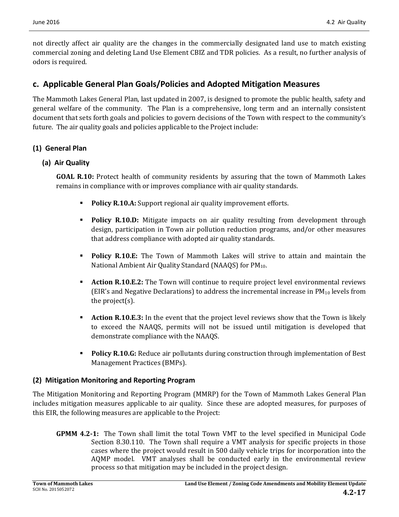not directly affect air quality are the changes in the commercially designated land use to match existing commercial zoning and deleting Land Use Element CBIZ and TDR policies. As a result, no further analysis of odors is required.

## **c. Applicable General Plan Goals/Policies and Adopted Mitigation Measures**

The Mammoth Lakes General Plan, last updated in 2007, is designed to promote the public health, safety and general welfare of the community. The Plan is a comprehensive, long term and an internally consistent document that sets forth goals and policies to govern decisions of the Town with respect to the community's future. The air quality goals and policies applicable to the Project include:

### **(1) General Plan**

#### **(a) Air Quality**

**GOAL R.10:** Protect health of community residents by assuring that the town of Mammoth Lakes remains in compliance with or improves compliance with air quality standards.

- **Policy R.10.A:** Support regional air quality improvement efforts.
- **Policy R.10.D:** Mitigate impacts on air quality resulting from development through design, participation in Town air pollution reduction programs, and/or other measures that address compliance with adopted air quality standards.
- **Policy R.10.E:** The Town of Mammoth Lakes will strive to attain and maintain the National Ambient Air Quality Standard (NAAQS) for PM<sub>10</sub>.
- **Action R.10.E.2:** The Town will continue to require project level environmental reviews (EIR's and Negative Declarations) to address the incremental increase in  $PM_{10}$  levels from the project(s).
- **Action R.10.E.3:** In the event that the project level reviews show that the Town is likely to exceed the NAAQS, permits will not be issued until mitigation is developed that demonstrate compliance with the NAAQS.
- **Policy R.10.G:** Reduce air pollutants during construction through implementation of Best Management Practices (BMPs).

#### **(2) Mitigation Monitoring and Reporting Program**

The Mitigation Monitoring and Reporting Program (MMRP) for the Town of Mammoth Lakes General Plan includes mitigation measures applicable to air quality. Since these are adopted measures, for purposes of this EIR, the following measures are applicable to the Project:

**GPMM 4.2-1:** The Town shall limit the total Town VMT to the level specified in Municipal Code Section 8.30.110. The Town shall require a VMT analysis for specific projects in those cases where the project would result in 500 daily vehicle trips for incorporation into the AQMP model. VMT analyses shall be conducted early in the environmental review process so that mitigation may be included in the project design.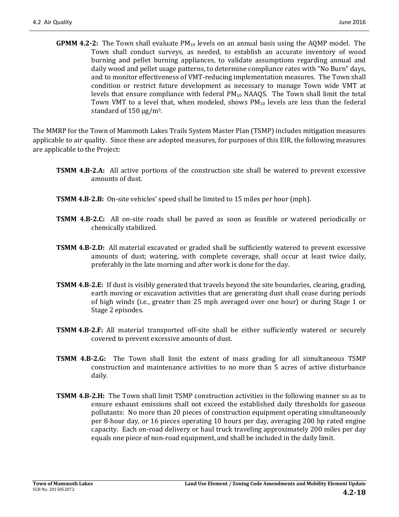**GPMM 4.2-2:** The Town shall evaluate PM10 levels on an annual basis using the AQMP model. The Town shall conduct surveys, as needed, to establish an accurate inventory of wood burning and pellet burning appliances, to validate assumptions regarding annual and daily wood and pellet usage patterns, to determine compliance rates with "No Burn" days, and to monitor effectiveness of VMT-reducing implementation measures. The Town shall condition or restrict future development as necessary to manage Town wide VMT at levels that ensure compliance with federal  $PM_{10}$  NAAQS. The Town shall limit the total Town VMT to a level that, when modeled, shows  $PM_{10}$  levels are less than the federal standard of  $150 \mu g/m^3$ .

The MMRP for the Town of Mammoth Lakes Trails System Master Plan (TSMP) includes mitigation measures applicable to air quality. Since these are adopted measures, for purposes of this EIR, the following measures are applicable to the Project:

- **TSMM 4.B-2.A:** All active portions of the construction site shall be watered to prevent excessive amounts of dust.
- **TSMM 4.B-2.B:** On-site vehicles' speed shall be limited to 15 miles per hour (mph).
- **TSMM 4.B-2.C:** All on-site roads shall be paved as soon as feasible or watered periodically or chemically stabilized.
- **TSMM 4.B-2.D:** All material excavated or graded shall be sufficiently watered to prevent excessive amounts of dust; watering, with complete coverage, shall occur at least twice daily, preferably in the late morning and after work is done for the day.
- **TSMM 4.B-2.E:** If dust is visibly generated that travels beyond the site boundaries, clearing, grading, earth moving or excavation activities that are generating dust shall cease during periods of high winds (i.e., greater than 25 mph averaged over one hour) or during Stage 1 or Stage 2 episodes.
- **TSMM 4.B-2.F:** All material transported off-site shall be either sufficiently watered or securely covered to prevent excessive amounts of dust.
- **TSMM 4.B-2.G:** The Town shall limit the extent of mass grading for all simultaneous TSMP construction and maintenance activities to no more than 5 acres of active disturbance daily.
- **TSMM 4.B-2.H:** The Town shall limit TSMP construction activities in the following manner so as to ensure exhaust emissions shall not exceed the established daily thresholds for gaseous pollutants: No more than 20 pieces of construction equipment operating simultaneously per 8-hour day, or 16 pieces operating 10 hours per day, averaging 200 hp rated engine capacity. Each on-road delivery or haul truck traveling approximately 200 miles per day equals one piece of non-road equipment, and shall be included in the daily limit.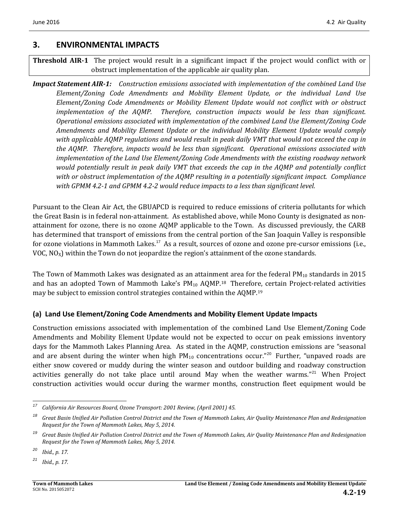## **3. ENVIRONMENTAL IMPACTS**

### **Threshold AIR-1** The project would result in a significant impact if the project would conflict with or obstruct implementation of the applicable air quality plan.

*Impact Statement AIR-1: Construction emissions associated with implementation of the combined Land Use Element/Zoning Code Amendments and Mobility Element Update, or the individual Land Use Element/Zoning Code Amendments or Mobility Element Update would not conflict with or obstruct implementation of the AQMP. Therefore, construction impacts would be less than significant. Operational emissions associated with implementation of the combined Land Use Element/Zoning Code Amendments and Mobility Element Update or the individual Mobility Element Update would comply with applicable AQMP regulations and would result in peak daily VMT that would not exceed the cap in the AQMP. Therefore, impacts would be less than significant. Operational emissions associated with implementation of the Land Use Element/Zoning Code Amendments with the existing roadway network would potentially result in peak daily VMT that exceeds the cap in the AQMP and potentially conflict with or obstruct implementation of the AQMP resulting in a potentially significant impact. Compliance with GPMM 4.2-1 and GPMM 4.2-2 would reduce impacts to a less than significant level.*

Pursuant to the Clean Air Act, the GBUAPCD is required to reduce emissions of criteria pollutants for which the Great Basin is in federal non-attainment. As established above, while Mono County is designated as nonattainment for ozone, there is no ozone AQMP applicable to the Town. As discussed previously, the CARB has determined that transport of emissions from the central portion of the San Joaquin Valley is responsible for ozone violations in Mammoth Lakes.<sup>[17](#page-18-0)</sup> As a result, sources of ozone and ozone pre-cursor emissions (i.e., VOC,  $NO<sub>x</sub>$ ) within the Town do not jeopardize the region's attainment of the ozone standards.

The Town of Mammoth Lakes was designated as an attainment area for the federal  $PM_{10}$  standards in 2015 and has an adopted Town of Mammoth Lake's PM<sub>10</sub> AQMP.<sup>18</sup> Therefore, certain Project-related activities may be subject to emission control strategies contained within the AQMP.[19](#page-18-2)

### **(a) Land Use Element/Zoning Code Amendments and Mobility Element Update Impacts**

Construction emissions associated with implementation of the combined Land Use Element/Zoning Code Amendments and Mobility Element Update would not be expected to occur on peak emissions inventory days for the Mammoth Lakes Planning Area. As stated in the AQMP, construction emissions are "seasonal and are absent during the winter when high  $PM_{10}$  concentrations occur."<sup>[20](#page-18-3)</sup> Further, "unpaved roads are either snow covered or muddy during the winter season and outdoor building and roadway construction activities generally do not take place until around May when the weather warms."<sup>[21](#page-18-4)</sup> When Project construction activities would occur during the warmer months, construction fleet equipment would be

<span id="page-18-0"></span>*<sup>17</sup> California Air Resources Board, Ozone Transport: 2001 Review, (April 2001) 45.*

<span id="page-18-1"></span>*<sup>18</sup> Great Basin Unified Air Pollution Control District and the Town of Mammoth Lakes, Air Quality Maintenance Plan and Redesignation Request for the Town of Mammoth Lakes, May 5, 2014.* 

<span id="page-18-2"></span>*<sup>19</sup> Great Basin Unified Air Pollution Control District and the Town of Mammoth Lakes, Air Quality Maintenance Plan and Redesignation Request for the Town of Mammoth Lakes, May 5, 2014.* 

<span id="page-18-3"></span>*<sup>20</sup> Ibid., p. 17.*

<span id="page-18-4"></span>*<sup>21</sup> Ibid., p. 17.*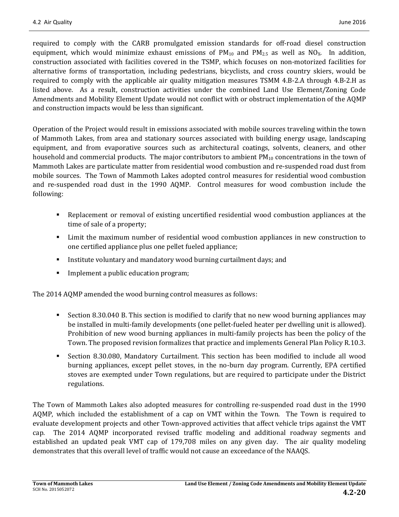required to comply with the CARB promulgated emission standards for off-road diesel construction equipment, which would minimize exhaust emissions of  $PM_{10}$  and  $PM_{2.5}$  as well as NO<sub>X</sub>. In addition, construction associated with facilities covered in the TSMP, which focuses on non-motorized facilities for alternative forms of transportation, including pedestrians, bicyclists, and cross country skiers, would be required to comply with the applicable air quality mitigation measures TSMM 4.B-2.A through 4.B-2.H as listed above. As a result, construction activities under the combined Land Use Element/Zoning Code Amendments and Mobility Element Update would not conflict with or obstruct implementation of the AQMP and construction impacts would be less than significant.

Operation of the Project would result in emissions associated with mobile sources traveling within the town of Mammoth Lakes, from area and stationary sources associated with building energy usage, landscaping equipment, and from evaporative sources such as architectural coatings, solvents, cleaners, and other household and commercial products. The major contributors to ambient  $PM_{10}$  concentrations in the town of Mammoth Lakes are particulate matter from residential wood combustion and re-suspended road dust from mobile sources. The Town of Mammoth Lakes adopted control measures for residential wood combustion and re-suspended road dust in the 1990 AQMP. Control measures for wood combustion include the following:

- Replacement or removal of existing uncertified residential wood combustion appliances at the time of sale of a property;
- Limit the maximum number of residential wood combustion appliances in new construction to one certified appliance plus one pellet fueled appliance;
- Institute voluntary and mandatory wood burning curtailment days; and
- Implement a public education program;

The 2014 AQMP amended the wood burning control measures as follows:

- Section 8.30.040 B. This section is modified to clarify that no new wood burning appliances may be installed in multi-family developments (one pellet-fueled heater per dwelling unit is allowed). Prohibition of new wood burning appliances in multi-family projects has been the policy of the Town. The proposed revision formalizes that practice and implements General Plan Policy R.10.3.
- Section 8.30.080, Mandatory Curtailment. This section has been modified to include all wood burning appliances, except pellet stoves, in the no-burn day program. Currently, EPA certified stoves are exempted under Town regulations, but are required to participate under the District regulations.

The Town of Mammoth Lakes also adopted measures for controlling re-suspended road dust in the 1990 AQMP, which included the establishment of a cap on VMT within the Town. The Town is required to evaluate development projects and other Town-approved activities that affect vehicle trips against the VMT cap. The 2014 AQMP incorporated revised traffic modeling and additional roadway segments and established an updated peak VMT cap of 179,708 miles on any given day. The air quality modeling demonstrates that this overall level of traffic would not cause an exceedance of the NAAQS.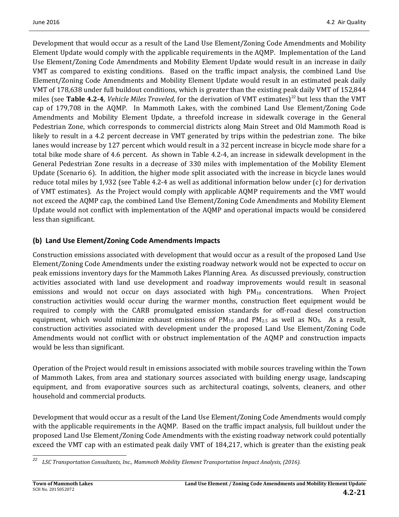Development that would occur as a result of the Land Use Element/Zoning Code Amendments and Mobility Element Update would comply with the applicable requirements in the AQMP. Implementation of the Land Use Element/Zoning Code Amendments and Mobility Element Update would result in an increase in daily VMT as compared to existing conditions. Based on the traffic impact analysis, the combined Land Use Element/Zoning Code Amendments and Mobility Element Update would result in an estimated peak daily VMT of 178,638 under full buildout conditions, which is greater than the existing peak daily VMT of 152,844 miles (see **Table 4.2-4**, *Vehicle Miles Traveled*, for the derivation of VMT estimates)<sup>[22](#page-20-0)</sup> but less than the VMT cap of 179,708 in the AQMP. In Mammoth Lakes, with the combined Land Use Element/Zoning Code Amendments and Mobility Element Update, a threefold increase in sidewalk coverage in the General Pedestrian Zone, which corresponds to commercial districts along Main Street and Old Mammoth Road is likely to result in a 4.2 percent decrease in VMT generated by trips within the pedestrian zone. The bike lanes would increase by 127 percent which would result in a 32 percent increase in bicycle mode share for a total bike mode share of 4.6 percent. As shown in Table 4.2-4, an increase in sidewalk development in the General Pedestrian Zone results in a decrease of 330 miles with implementation of the Mobility Element Update (Scenario 6). In addition, the higher mode split associated with the increase in bicycle lanes would reduce total miles by 1,932 (see Table 4.2-4 as well as additional information below under (c) for derivation of VMT estimates). As the Project would comply with applicable AQMP requirements and the VMT would not exceed the AQMP cap, the combined Land Use Element/Zoning Code Amendments and Mobility Element Update would not conflict with implementation of the AQMP and operational impacts would be considered less than significant.

## **(b) Land Use Element/Zoning Code Amendments Impacts**

Construction emissions associated with development that would occur as a result of the proposed Land Use Element/Zoning Code Amendments under the existing roadway network would not be expected to occur on peak emissions inventory days for the Mammoth Lakes Planning Area. As discussed previously, construction activities associated with land use development and roadway improvements would result in seasonal emissions and would not occur on days associated with high PM<sub>10</sub> concentrations. When Project construction activities would occur during the warmer months, construction fleet equipment would be required to comply with the CARB promulgated emission standards for off-road diesel construction equipment, which would minimize exhaust emissions of  $PM_{10}$  and  $PM_{2.5}$  as well as NO<sub>X</sub>. As a result, construction activities associated with development under the proposed Land Use Element/Zoning Code Amendments would not conflict with or obstruct implementation of the AQMP and construction impacts would be less than significant.

Operation of the Project would result in emissions associated with mobile sources traveling within the Town of Mammoth Lakes, from area and stationary sources associated with building energy usage, landscaping equipment, and from evaporative sources such as architectural coatings, solvents, cleaners, and other household and commercial products.

Development that would occur as a result of the Land Use Element/Zoning Code Amendments would comply with the applicable requirements in the AQMP. Based on the traffic impact analysis, full buildout under the proposed Land Use Element/Zoning Code Amendments with the existing roadway network could potentially exceed the VMT cap with an estimated peak daily VMT of 184,217, which is greater than the existing peak

<span id="page-20-0"></span>*<sup>22</sup> LSC Transportation Consultants, Inc., Mammoth Mobility Element Transportation Impact Analysis, (2016).*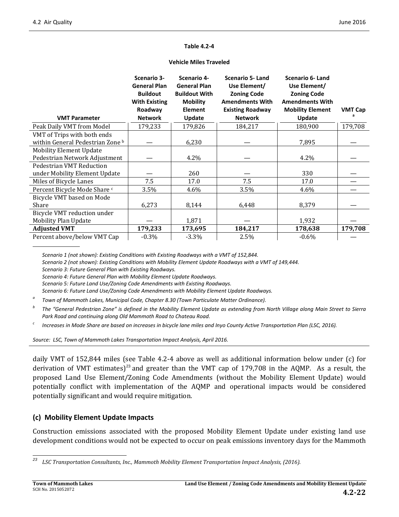#### **Table 4.2-4**

|                                                                 | Scenario 3-<br><b>General Plan</b><br><b>Buildout</b><br><b>With Existing</b><br>Roadway | Scenario 4-<br><b>General Plan</b><br><b>Buildout With</b><br><b>Mobility</b><br>Element | <b>Scenario 5-Land</b><br>Use Element/<br><b>Zoning Code</b><br><b>Amendments With</b><br><b>Existing Roadway</b> | Scenario 6- Land<br>Use Element/<br><b>Zoning Code</b><br><b>Amendments With</b><br><b>Mobility Element</b> | <b>VMT Cap</b> |
|-----------------------------------------------------------------|------------------------------------------------------------------------------------------|------------------------------------------------------------------------------------------|-------------------------------------------------------------------------------------------------------------------|-------------------------------------------------------------------------------------------------------------|----------------|
| <b>VMT Parameter</b>                                            | <b>Network</b>                                                                           | Update                                                                                   | <b>Network</b>                                                                                                    | Update                                                                                                      |                |
| Peak Daily VMT from Model                                       | 179,233                                                                                  | 179,826                                                                                  | 184,217                                                                                                           | 180,900                                                                                                     | 179,708        |
| VMT of Trips with both ends<br>within General Pedestrian Zone b |                                                                                          | 6,230                                                                                    |                                                                                                                   | 7,895                                                                                                       |                |
| <b>Mobility Element Update</b><br>Pedestrian Network Adjustment |                                                                                          | 4.2%                                                                                     |                                                                                                                   | 4.2%                                                                                                        |                |
| Pedestrian VMT Reduction<br>under Mobility Element Update       |                                                                                          | 260                                                                                      |                                                                                                                   | 330                                                                                                         |                |
| Miles of Bicycle Lanes                                          | 7.5                                                                                      | 17.0                                                                                     | 7.5                                                                                                               | 17.0                                                                                                        |                |
| Percent Bicycle Mode Share <sup>c</sup>                         | 3.5%                                                                                     | 4.6%                                                                                     | 3.5%                                                                                                              | 4.6%                                                                                                        |                |
| Bicycle VMT based on Mode<br>Share                              | 6,273                                                                                    | 8,144                                                                                    | 6,448                                                                                                             | 8,379                                                                                                       |                |
| Bicycle VMT reduction under<br><b>Mobility Plan Update</b>      |                                                                                          | 1,871                                                                                    |                                                                                                                   | 1,932                                                                                                       |                |
| <b>Adjusted VMT</b>                                             | 179,233                                                                                  | 173,695                                                                                  | 184,217                                                                                                           | 178,638                                                                                                     | 179,708        |
| Percent above/below VMT Cap                                     | $-0.3%$                                                                                  | $-3.3%$                                                                                  | 2.5%                                                                                                              | $-0.6%$                                                                                                     |                |

#### **Vehicle Miles Traveled**

*Scenario 1 (not shown): Existing Conditions with Existing Roadways with a VMT of 152,844.*

*Scenario 2 (not shown): Existing Conditions with Mobility Element Update Roadways with a VMT of 149,444. Scenario 3: Future General Plan with Existing Roadways.*

*Scenario 4: Future General Plan with Mobility Element Update Roadways.*

*Scenario 5: Future Land Use/Zoning Code Amendments with Existing Roadways.*

*Scenario 6: Future Land Use/Zoning Code Amendments with Mobility Element Update Roadways.*

- *<sup>a</sup> Town of Mammoth Lakes, Municipal Code, Chapter 8.30 (Town Particulate Matter Ordinance).*
- *<sup>b</sup> The "General Pedestrian Zone" is defined in the Mobility Element Update as extending from North Village along Main Street to Sierra Park Road and continuing along Old Mammoth Road to Chateau Road.*
- *<sup>c</sup> Increases in Mode Share are based on increases in bicycle lane miles and Inyo County Active Transportation Plan (LSC, 2016).*

*Source: LSC, Town of Mammoth Lakes Transportation Impact Analysis, April 2016.*

daily VMT of 152,844 miles (see Table 4.2-4 above as well as additional information below under (c) for derivation of VMT estimates)<sup>[23](#page-21-0)</sup> and greater than the VMT cap of 179,708 in the AQMP. As a result, the proposed Land Use Element/Zoning Code Amendments (without the Mobility Element Update) would potentially conflict with implementation of the AQMP and operational impacts would be considered potentially significant and would require mitigation.

### **(c) Mobility Element Update Impacts**

Construction emissions associated with the proposed Mobility Element Update under existing land use development conditions would not be expected to occur on peak emissions inventory days for the Mammoth

<span id="page-21-0"></span>*<sup>23</sup> LSC Transportation Consultants, Inc., Mammoth Mobility Element Transportation Impact Analysis, (2016).*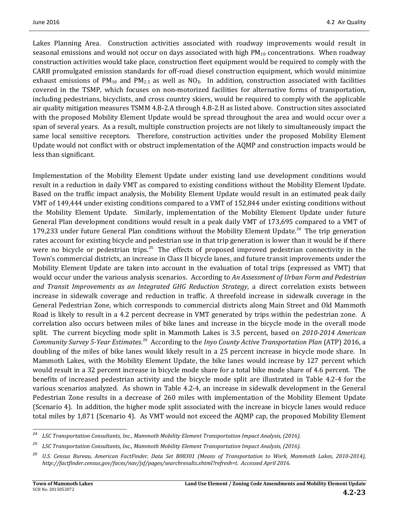Lakes Planning Area. Construction activities associated with roadway improvements would result in seasonal emissions and would not occur on days associated with high  $PM_{10}$  concentrations. When roadway construction activities would take place, construction fleet equipment would be required to comply with the CARB promulgated emission standards for off-road diesel construction equipment, which would minimize exhaust emissions of  $PM_{10}$  and  $PM_{2.5}$  as well as NO<sub>x</sub>. In addition, construction associated with facilities covered in the TSMP, which focuses on non-motorized facilities for alternative forms of transportation, including pedestrians, bicyclists, and cross country skiers, would be required to comply with the applicable air quality mitigation measures TSMM 4.B-2.A through 4.B-2.H as listed above. Construction sites associated with the proposed Mobility Element Update would be spread throughout the area and would occur over a span of several years. As a result, multiple construction projects are not likely to simultaneously impact the same local sensitive receptors. Therefore, construction activities under the proposed Mobility Element Update would not conflict with or obstruct implementation of the AQMP and construction impacts would be less than significant.

Implementation of the Mobility Element Update under existing land use development conditions would result in a reduction in daily VMT as compared to existing conditions without the Mobility Element Update. Based on the traffic impact analysis, the Mobility Element Update would result in an estimated peak daily VMT of 149,444 under existing conditions compared to a VMT of 152,844 under existing conditions without the Mobility Element Update. Similarly, implementation of the Mobility Element Update under future General Plan development conditions would result in a peak daily VMT of 173,695 compared to a VMT of 179,233 under future General Plan conditions without the Mobility Element Update.<sup>[24](#page-22-0)</sup> The trip generation rates account for existing bicycle and pedestrian use in that trip generation is lower than it would be if there were no bicycle or pedestrian trips.<sup>[25](#page-22-1)</sup> The effects of proposed improved pedestrian connectivity in the Town's commercial districts, an increase in Class II bicycle lanes, and future transit improvements under the Mobility Element Update are taken into account in the evaluation of total trips (expressed as VMT) that would occur under the various analysis scenarios. According to *An Assessment of Urban Form and Pedestrian and Transit Improvements as an Integrated GHG Reduction Strategy*, a direct correlation exists between increase in sidewalk coverage and reduction in traffic. A threefold increase in sidewalk coverage in the General Pedestrian Zone, which corresponds to commercial districts along Main Street and Old Mammoth Road is likely to result in a 4.2 percent decrease in VMT generated by trips within the pedestrian zone. A correlation also occurs between miles of bike lanes and increase in the bicycle mode in the overall mode split. The current bicycling mode split in Mammoth Lakes is 3.5 percent, based on *2010-2014 American Community Survey 5-Year Estimates*. [26](#page-22-2) According to the *Inyo County Active Transportation Plan* (ATP) 2016, a doubling of the miles of bike lanes would likely result in a 25 percent increase in bicycle mode share. In Mammoth Lakes, with the Mobility Element Update, the bike lanes would increase by 127 percent which would result in a 32 percent increase in bicycle mode share for a total bike mode share of 4.6 percent. The benefits of increased pedestrian activity and the bicycle mode split are illustrated in Table 4.2-4 for the various scenarios analyzed. As shown in Table 4.2-4, an increase in sidewalk development in the General Pedestrian Zone results in a decrease of 260 miles with implementation of the Mobility Element Update (Scenario 4). In addition, the higher mode split associated with the increase in bicycle lanes would reduce total miles by 1,871 (Scenario 4). As VMT would not exceed the AQMP cap, the proposed Mobility Element

<span id="page-22-0"></span>*<sup>24</sup> LSC Transportation Consultants, Inc., Mammoth Mobility Element Transportation Impact Analysis, (2016).*

<span id="page-22-1"></span>*<sup>25</sup> LSC Transportation Consultants, Inc., Mammoth Mobility Element Transportation Impact Analysis, (2016).*

<span id="page-22-2"></span>*<sup>26</sup> U.S. Census Bureau, American FactFinder, Data Set B08301 (Means of Transportation to Work, Mammoth Lakes, 2010-2014), http://factfinder.census.gov/faces/nav/jsf/pages/searchresults.xhtml?refresh=t. Accessed April 2016.*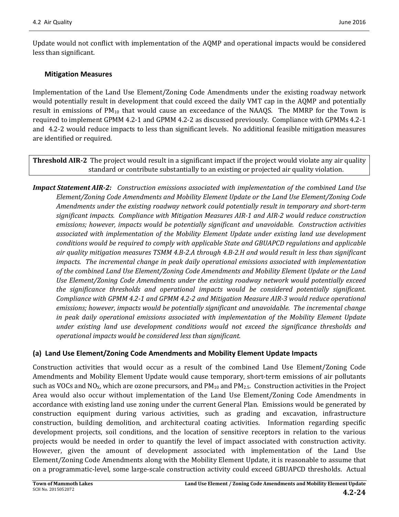Update would not conflict with implementation of the AQMP and operational impacts would be considered less than significant.

#### **Mitigation Measures**

Implementation of the Land Use Element/Zoning Code Amendments under the existing roadway network would potentially result in development that could exceed the daily VMT cap in the AQMP and potentially result in emissions of PM<sub>10</sub> that would cause an exceedance of the NAAQS. The MMRP for the Town is required to implement GPMM 4.2-1 and GPMM 4.2-2 as discussed previously. Compliance with GPMMs 4.2-1 and 4.2-2 would reduce impacts to less than significant levels. No additional feasible mitigation measures are identified or required.

**Threshold AIR-2** The project would result in a significant impact if the project would violate any air quality standard or contribute substantially to an existing or projected air quality violation.

*Impact Statement AIR-2: Construction emissions associated with implementation of the combined Land Use Element/Zoning Code Amendments and Mobility Element Update or the Land Use Element/Zoning Code Amendments under the existing roadway network could potentially result in temporary and short-term significant impacts. Compliance with Mitigation Measures AIR-1 and AIR-2 would reduce construction emissions; however, impacts would be potentially significant and unavoidable. Construction activities associated with implementation of the Mobility Element Update under existing land use development conditions would be required to comply with applicable State and GBUAPCD regulations and applicable air quality mitigation measures TSMM 4.B-2.A through 4.B-2.H and would result in less than significant impacts. The incremental change in peak daily operational emissions associated with implementation of the combined Land Use Element/Zoning Code Amendments and Mobility Element Update or the Land Use Element/Zoning Code Amendments under the existing roadway network would potentially exceed the significance thresholds and operational impacts would be considered potentially significant. Compliance with GPMM 4.2-1 and GPMM 4.2-2 and Mitigation Measure AIR-3 would reduce operational emissions; however, impacts would be potentially significant and unavoidable. The incremental change in peak daily operational emissions associated with implementation of the Mobility Element Update under existing land use development conditions would not exceed the significance thresholds and operational impacts would be considered less than significant.* 

### **(a) Land Use Element/Zoning Code Amendments and Mobility Element Update Impacts**

Construction activities that would occur as a result of the combined Land Use Element/Zoning Code Amendments and Mobility Element Update would cause temporary, short-term emissions of air pollutants such as VOCs and NO<sub>X</sub>, which are ozone precursors, and  $PM_{10}$  and  $PM_{2.5}$ . Construction activities in the Project Area would also occur without implementation of the Land Use Element/Zoning Code Amendments in accordance with existing land use zoning under the current General Plan. Emissions would be generated by construction equipment during various activities, such as grading and excavation, infrastructure construction, building demolition, and architectural coating activities. Information regarding specific development projects, soil conditions, and the location of sensitive receptors in relation to the various projects would be needed in order to quantify the level of impact associated with construction activity. However, given the amount of development associated with implementation of the Land Use Element/Zoning Code Amendments along with the Mobility Element Update, it is reasonable to assume that on a programmatic-level, some large-scale construction activity could exceed GBUAPCD thresholds. Actual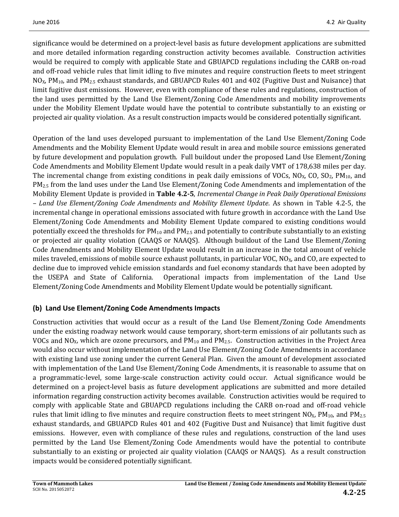significance would be determined on a project-level basis as future development applications are submitted and more detailed information regarding construction activity becomes available. Construction activities would be required to comply with applicable State and GBUAPCD regulations including the CARB on-road and off-road vehicle rules that limit idling to five minutes and require construction fleets to meet stringent  $NO<sub>X</sub>$ , PM<sub>10</sub>, and PM<sub>2.5</sub> exhaust standards, and GBUAPCD Rules 401 and 402 (Fugitive Dust and Nuisance) that limit fugitive dust emissions. However, even with compliance of these rules and regulations, construction of the land uses permitted by the Land Use Element/Zoning Code Amendments and mobility improvements under the Mobility Element Update would have the potential to contribute substantially to an existing or projected air quality violation. As a result construction impacts would be considered potentially significant.

Operation of the land uses developed pursuant to implementation of the Land Use Element/Zoning Code Amendments and the Mobility Element Update would result in area and mobile source emissions generated by future development and population growth. Full buildout under the proposed Land Use Element/Zoning Code Amendments and Mobility Element Update would result in a peak daily VMT of 178,638 miles per day. The incremental change from existing conditions in peak daily emissions of VOCs,  $NO<sub>X</sub>$ , CO, SO<sub>2</sub>, PM<sub>10</sub>, and PM<sub>2.5</sub> from the land uses under the Land Use Element/Zoning Code Amendments and implementation of the Mobility Element Update is provided in **Table 4.2-5**, *Incremental Change in Peak Daily Operational Emissions – Land Use Element/Zoning Code Amendments and Mobility Element Update*. As shown in Table 4.2-5, the incremental change in operational emissions associated with future growth in accordance with the Land Use Element/Zoning Code Amendments and Mobility Element Update compared to existing conditions would potentially exceed the thresholds for  $PM_{10}$  and  $PM_{2.5}$  and potentially to contribute substantially to an existing or projected air quality violation (CAAQS or NAAQS). Although buildout of the Land Use Element/Zoning Code Amendments and Mobility Element Update would result in an increase in the total amount of vehicle miles traveled, emissions of mobile source exhaust pollutants, in particular VOC,  $NO<sub>X</sub>$ , and CO, are expected to decline due to improved vehicle emission standards and fuel economy standards that have been adopted by the USEPA and State of California. Operational impacts from implementation of the Land Use Element/Zoning Code Amendments and Mobility Element Update would be potentially significant.

## **(b) Land Use Element/Zoning Code Amendments Impacts**

Construction activities that would occur as a result of the Land Use Element/Zoning Code Amendments under the existing roadway network would cause temporary, short-term emissions of air pollutants such as VOCs and NO<sub>X</sub>, which are ozone precursors, and PM<sub>10</sub> and PM<sub>2.5</sub>. Construction activities in the Project Area would also occur without implementation of the Land Use Element/Zoning Code Amendments in accordance with existing land use zoning under the current General Plan. Given the amount of development associated with implementation of the Land Use Element/Zoning Code Amendments, it is reasonable to assume that on a programmatic-level, some large-scale construction activity could occur. Actual significance would be determined on a project-level basis as future development applications are submitted and more detailed information regarding construction activity becomes available. Construction activities would be required to comply with applicable State and GBUAPCD regulations including the CARB on-road and off-road vehicle rules that limit idling to five minutes and require construction fleets to meet stringent  $NO<sub>X</sub>$ ,  $PM<sub>10</sub>$ , and  $PM<sub>2.5</sub>$ exhaust standards, and GBUAPCD Rules 401 and 402 (Fugitive Dust and Nuisance) that limit fugitive dust emissions. However, even with compliance of these rules and regulations, construction of the land uses permitted by the Land Use Element/Zoning Code Amendments would have the potential to contribute substantially to an existing or projected air quality violation (CAAQS or NAAQS). As a result construction impacts would be considered potentially significant.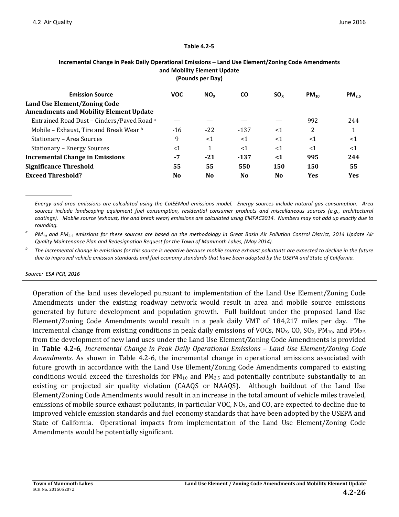#### **Table 4.2-5**

| II AMIINA KAI RAILI                                                           |                |          |                |                |           |            |
|-------------------------------------------------------------------------------|----------------|----------|----------------|----------------|-----------|------------|
| <b>Emission Source</b>                                                        | <b>VOC</b>     | $NO_{X}$ | <b>CO</b>      | $SO_{x}$       | $PM_{10}$ | $PM_{2.5}$ |
| Land Use Element/Zoning Code<br><b>Amendments and Mobility Element Update</b> |                |          |                |                |           |            |
| Entrained Road Dust - Cinders/Paved Road <sup>a</sup>                         |                |          |                |                | 992       | 244        |
| Mobile – Exhaust, Tire and Break Wear b                                       | $-16$          | $-22$    | $-137$         | $<$ 1          | 2         | 1<br>T     |
| Stationary – Area Sources                                                     | 9              | $<$ 1    | $<$ 1          | $<$ 1          | $<$ 1     | $<$ 1      |
| <b>Stationary - Energy Sources</b>                                            | $<$ 1          | 1        | $<$ 1          | $<$ 1          | $<$ 1     | $<$ 1      |
| <b>Incremental Change in Emissions</b>                                        | -7             | $-21$    | $-137$         | $\leq 1$       | 995       | 244        |
| <b>Significance Threshold</b>                                                 | 55             | 55       | 550            | 150            | 150       | 55         |
| <b>Exceed Threshold?</b>                                                      | N <sub>0</sub> | No.      | N <sub>0</sub> | N <sub>0</sub> | Yes       | <b>Yes</b> |

#### **Incremental Change in Peak Daily Operational Emissions – Land Use Element/Zoning Code Amendments and Mobility Element Update (Pounds per Day)**

*Energy and area emissions are calculated using the CalEEMod emissions model. Energy sources include natural gas consumption. Area sources include landscaping equipment fuel consumption, residential consumer products and miscellaneous sources (e.g., architectural coatings). Mobile source (exhaust, tire and break wear) emissions are calculated using EMFAC2014. Numbers may not add up exactly due to rounding.*

*<sup>a</sup> PM10 and PM2.5 emissions for these sources are based on the methodology in Great Basin Air Pollution Control District, 2014 Update Air Quality Maintenance Plan and Redesignation Request for the Town of Mammoth Lakes, (May 2014).*

*<sup>b</sup> The incremental change in emissions for this source is negative because mobile source exhaust pollutants are expected to decline in the future due to improved vehicle emission standards and fuel economy standards that have been adopted by the USEPA and State of California.*

#### *Source: ESA PCR, 2016*

Operation of the land uses developed pursuant to implementation of the Land Use Element/Zoning Code Amendments under the existing roadway network would result in area and mobile source emissions generated by future development and population growth. Full buildout under the proposed Land Use Element/Zoning Code Amendments would result in a peak daily VMT of 184,217 miles per day. The incremental change from existing conditions in peak daily emissions of VOCs,  $NO<sub>x</sub>$ , CO, SO<sub>2</sub>, PM<sub>10</sub>, and PM<sub>2.5</sub> from the development of new land uses under the Land Use Element/Zoning Code Amendments is provided in **Table 4.2-6**, *Incremental Change in Peak Daily Operational Emissions – Land Use Element/Zoning Code Amendments*. As shown in Table 4.2-6, the incremental change in operational emissions associated with future growth in accordance with the Land Use Element/Zoning Code Amendments compared to existing conditions would exceed the thresholds for  $PM_{10}$  and  $PM_{2.5}$  and potentially contribute substantially to an existing or projected air quality violation (CAAQS or NAAQS). Although buildout of the Land Use Element/Zoning Code Amendments would result in an increase in the total amount of vehicle miles traveled, emissions of mobile source exhaust pollutants, in particular VOC,  $NO<sub>x</sub>$ , and CO, are expected to decline due to improved vehicle emission standards and fuel economy standards that have been adopted by the USEPA and State of California. Operational impacts from implementation of the Land Use Element/Zoning Code Amendments would be potentially significant.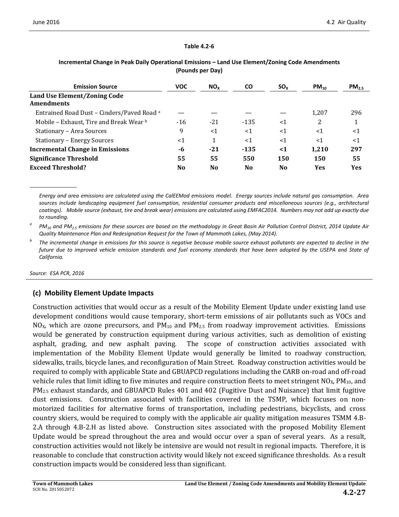#### **Table 4.2-6**

| <b>Emission Source</b>                            | <b>VOC</b>     | NO <sub>x</sub> | <b>CO</b>      | $SO_{X}$       | $PM_{10}$  | $PM_{2.5}$ |
|---------------------------------------------------|----------------|-----------------|----------------|----------------|------------|------------|
| Land Use Element/Zoning Code<br><b>Amendments</b> |                |                 |                |                |            |            |
| Entrained Road Dust – Cinders/Paved Road a        |                |                 |                |                | 1,207      | 296        |
| Mobile - Exhaust, Tire and Break Wear b           | $-16$          | $-21$           | $-135$         | $\leq$ 1       | 2          |            |
| Stationary - Area Sources                         | 9              | $<$ 1           | $<$ 1          | $<$ 1          | $<$ 1      | $<$ 1      |
| <b>Stationary - Energy Sources</b>                | <1             | 1               | $<$ 1          | $<$ 1          | <1         | $<$ 1      |
| <b>Incremental Change in Emissions</b>            | -6             | $-21$           | $-135$         | $\leq 1$       | 1.210      | 297        |
| <b>Significance Threshold</b>                     | 55             | 55              | 550            | 150            | 150        | 55         |
| <b>Exceed Threshold?</b>                          | N <sub>0</sub> | N <sub>0</sub>  | N <sub>0</sub> | N <sub>0</sub> | <b>Yes</b> | <b>Yes</b> |

#### **Incremental Change in Peak Daily Operational Emissions – Land Use Element/Zoning Code Amendments (Pounds per Day)**

*Energy and area emissions are calculated using the CalEEMod emissions model. Energy sources include natural gas consumption. Area sources include landscaping equipment fuel consumption, residential consumer products and miscellaneous sources (e.g., architectural coatings). Mobile source (exhaust, tire and break wear) emissions are calculated using EMFAC2014. Numbers may not add up exactly due to rounding.*

*<sup>a</sup> PM10 and PM2.5 emissions for these sources are based on the methodology in Great Basin Air Pollution Control District, 2014 Update Air Quality Maintenance Plan and Redesignation Request for the Town of Mammoth Lakes, (May 2014).*

*<sup>b</sup> The incremental change in emissions for this source is negative because mobile source exhaust pollutants are expected to decline in the future due to improved vehicle emission standards and fuel economy standards that have been adopted by the USEPA and State of California.*

*Source: ESA PCR, 2016*

### **(c) Mobility Element Update Impacts**

Construction activities that would occur as a result of the Mobility Element Update under existing land use development conditions would cause temporary, short-term emissions of air pollutants such as VOCs and  $NO<sub>x</sub>$ , which are ozone precursors, and  $PM<sub>10</sub>$  and  $PM<sub>2.5</sub>$  from roadway improvement activities. Emissions would be generated by construction equipment during various activities, such as demolition of existing asphalt, grading, and new asphalt paving. The scope of construction activities associated with implementation of the Mobility Element Update would generally be limited to roadway construction, sidewalks, trails, bicycle lanes, and reconfiguration of Main Street. Roadway construction activities would be required to comply with applicable State and GBUAPCD regulations including the CARB on-road and off-road vehicle rules that limit idling to five minutes and require construction fleets to meet stringent  $NQ_x$ ,  $PM_{10}$ , and PM2.5 exhaust standards, and GBUAPCD Rules 401 and 402 (Fugitive Dust and Nuisance) that limit fugitive dust emissions. Construction associated with facilities covered in the TSMP, which focuses on nonmotorized facilities for alternative forms of transportation, including pedestrians, bicyclists, and cross country skiers, would be required to comply with the applicable air quality mitigation measures TSMM 4.B-2.A through 4.B-2.H as listed above. Construction sites associated with the proposed Mobility Element Update would be spread throughout the area and would occur over a span of several years. As a result, construction activities would not likely be intensive are would not result in regional impacts. Therefore, it is reasonable to conclude that construction activity would likely not exceed significance thresholds. As a result construction impacts would be considered less than significant.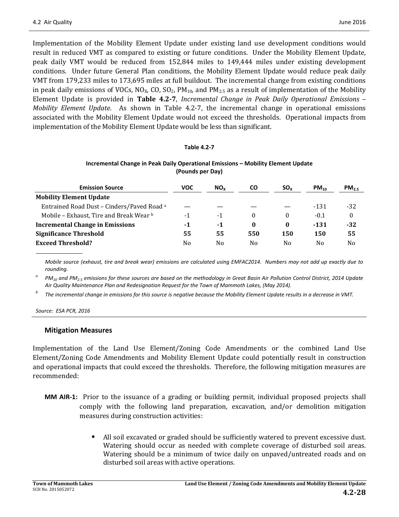Implementation of the Mobility Element Update under existing land use development conditions would result in reduced VMT as compared to existing or future conditions. Under the Mobility Element Update, peak daily VMT would be reduced from 152,844 miles to 149,444 miles under existing development conditions. Under future General Plan conditions, the Mobility Element Update would reduce peak daily VMT from 179,233 miles to 173,695 miles at full buildout. The incremental change from existing conditions in peak daily emissions of VOCs, NO<sub>x</sub>, CO, SO<sub>2</sub>, PM<sub>10</sub>, and PM<sub>2.5</sub> as a result of implementation of the Mobility Element Update is provided in **Table 4.2-7**, *Incremental Change in Peak Daily Operational Emissions – Mobility Element Update*. As shown in Table 4.2-7, the incremental change in operational emissions associated with the Mobility Element Update would not exceed the thresholds. Operational impacts from implementation of the Mobility Element Update would be less than significant.

#### **Table 4.2-7**

#### **Incremental Change in Peak Daily Operational Emissions – Mobility Element Update (Pounds per Day)**

| <b>Emission Source</b>                                | voc | NO <sub>v</sub> | CO             | $SO_{x}$       | $PM_{10}$ | $PM_{25}$      |
|-------------------------------------------------------|-----|-----------------|----------------|----------------|-----------|----------------|
| <b>Mobility Element Update</b>                        |     |                 |                |                |           |                |
| Entrained Road Dust - Cinders/Paved Road <sup>a</sup> |     |                 |                |                | $-131$    | $-32$          |
| Mobile - Exhaust, Tire and Break Wear b               | -1  | -1              | $\Omega$       | $\Omega$       | $-0.1$    | $\theta$       |
| <b>Incremental Change in Emissions</b>                | -1  | $-1$            | $\mathbf{0}$   | $\bf{0}$       | $-131$    | $-32$          |
| <b>Significance Threshold</b>                         | 55  | 55              | 550            | 150            | 150       | 55             |
| <b>Exceed Threshold?</b>                              | No  | N <sub>0</sub>  | N <sub>0</sub> | N <sub>0</sub> | No        | N <sub>0</sub> |

*Mobile source (exhaust, tire and break wear) emissions are calculated using EMFAC2014. Numbers may not add up exactly due to rounding.*

*<sup>a</sup> PM10 and PM2.5 emissions for these sources are based on the methodology in Great Basin Air Pollution Control District, 2014 Update Air Quality Maintenance Plan and Redesignation Request for the Town of Mammoth Lakes, (May 2014).*

*<sup>b</sup> The incremental change in emissions for this source is negative because the Mobility Element Update results in a decrease in VMT.*

*Source: ESA PCR, 2016*

#### **Mitigation Measures**

Implementation of the Land Use Element/Zoning Code Amendments or the combined Land Use Element/Zoning Code Amendments and Mobility Element Update could potentially result in construction and operational impacts that could exceed the thresholds. Therefore, the following mitigation measures are recommended:

- **MM AIR-1:** Prior to the issuance of a grading or building permit, individual proposed projects shall comply with the following land preparation, excavation, and/or demolition mitigation measures during construction activities:
	- I All soil excavated or graded should be sufficiently watered to prevent excessive dust. Watering should occur as needed with complete coverage of disturbed soil areas. Watering should be a minimum of twice daily on unpaved/untreated roads and on disturbed soil areas with active operations.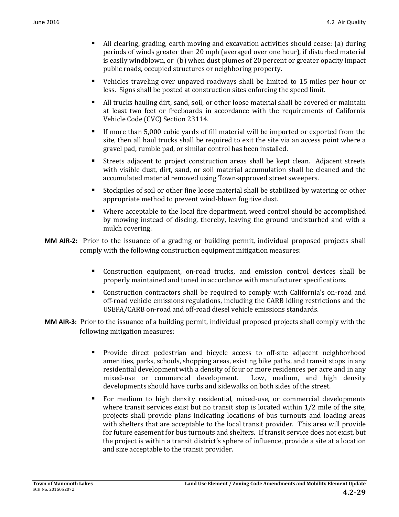- All clearing, grading, earth moving and excavation activities should cease: (a) during periods of winds greater than 20 mph (averaged over one hour), if disturbed material is easily windblown, or (b) when dust plumes of 20 percent or greater opacity impact public roads, occupied structures or neighboring property.
- Vehicles traveling over unpaved roadways shall be limited to 15 miles per hour or less. Signs shall be posted at construction sites enforcing the speed limit.
- All trucks hauling dirt, sand, soil, or other loose material shall be covered or maintain at least two feet or freeboards in accordance with the requirements of California Vehicle Code (CVC) Section 23114.
- If more than 5,000 cubic yards of fill material will be imported or exported from the site, then all haul trucks shall be required to exit the site via an access point where a gravel pad, rumble pad, or similar control has been installed.
- Streets adjacent to project construction areas shall be kept clean. Adjacent streets with visible dust, dirt, sand, or soil material accumulation shall be cleaned and the accumulated material removed using Town-approved street sweepers.
- Stockpiles of soil or other fine loose material shall be stabilized by watering or other appropriate method to prevent wind-blown fugitive dust.
- Where acceptable to the local fire department, weed control should be accomplished by mowing instead of discing, thereby, leaving the ground undisturbed and with a mulch covering.
- **MM AIR-2:** Prior to the issuance of a grading or building permit, individual proposed projects shall comply with the following construction equipment mitigation measures:
	- Construction equipment, on-road trucks, and emission control devices shall be properly maintained and tuned in accordance with manufacturer specifications.
	- Construction contractors shall be required to comply with California's on-road and off-road vehicle emissions regulations, including the CARB idling restrictions and the USEPA/CARB on-road and off-road diesel vehicle emissions standards.
- **MM AIR-3:** Prior to the issuance of a building permit, individual proposed projects shall comply with the following mitigation measures:
	- Provide direct pedestrian and bicycle access to off-site adjacent neighborhood amenities, parks, schools, shopping areas, existing bike paths, and transit stops in any residential development with a density of four or more residences per acre and in any mixed-use or commercial development. Low, medium, and high density mixed-use or commercial development. developments should have curbs and sidewalks on both sides of the street.
	- For medium to high density residential, mixed-use, or commercial developments where transit services exist but no transit stop is located within  $1/2$  mile of the site, projects shall provide plans indicating locations of bus turnouts and loading areas with shelters that are acceptable to the local transit provider. This area will provide for future easement for bus turnouts and shelters. If transit service does not exist, but the project is within a transit district's sphere of influence, provide a site at a location and size acceptable to the transit provider.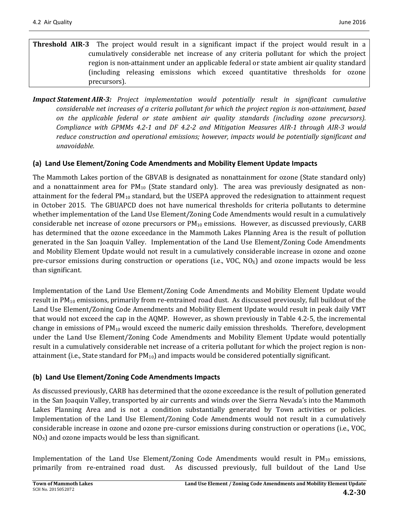- **Threshold AIR-3** The project would result in a significant impact if the project would result in a cumulatively considerable net increase of any criteria pollutant for which the project region is non-attainment under an applicable federal or state ambient air quality standard (including releasing emissions which exceed quantitative thresholds for ozone precursors).
- *Impact Statement AIR-3: Project implementation would potentially result in significant cumulative considerable net increases of a criteria pollutant for which the project region is non-attainment, based on the applicable federal or state ambient air quality standards (including ozone precursors). Compliance with GPMMs 4.2-1 and DF 4.2-2 and Mitigation Measures AIR-1 through AIR-3 would reduce construction and operational emissions; however, impacts would be potentially significant and unavoidable.*

## **(a) Land Use Element/Zoning Code Amendments and Mobility Element Update Impacts**

The Mammoth Lakes portion of the GBVAB is designated as nonattainment for ozone (State standard only) and a nonattainment area for  $PM_{10}$  (State standard only). The area was previously designated as nonattainment for the federal  $PM_{10}$  standard, but the USEPA approved the redesignation to attainment request in October 2015. The GBUAPCD does not have numerical thresholds for criteria pollutants to determine whether implementation of the Land Use Element/Zoning Code Amendments would result in a cumulatively considerable net increase of ozone precursors or  $PM_{10}$  emissions. However, as discussed previously, CARB has determined that the ozone exceedance in the Mammoth Lakes Planning Area is the result of pollution generated in the San Joaquin Valley. Implementation of the Land Use Element/Zoning Code Amendments and Mobility Element Update would not result in a cumulatively considerable increase in ozone and ozone pre-cursor emissions during construction or operations (i.e., VOC,  $NO<sub>X</sub>$ ) and ozone impacts would be less than significant.

Implementation of the Land Use Element/Zoning Code Amendments and Mobility Element Update would result in PM<sub>10</sub> emissions, primarily from re-entrained road dust. As discussed previously, full buildout of the Land Use Element/Zoning Code Amendments and Mobility Element Update would result in peak daily VMT that would not exceed the cap in the AQMP. However, as shown previously in Table 4.2-5, the incremental change in emissions of  $PM_{10}$  would exceed the numeric daily emission thresholds. Therefore, development under the Land Use Element/Zoning Code Amendments and Mobility Element Update would potentially result in a cumulatively considerable net increase of a criteria pollutant for which the project region is nonattainment (i.e., State standard for  $PM_{10}$ ) and impacts would be considered potentially significant.

### **(b) Land Use Element/Zoning Code Amendments Impacts**

As discussed previously, CARB has determined that the ozone exceedance is the result of pollution generated in the San Joaquin Valley, transported by air currents and winds over the Sierra Nevada's into the Mammoth Lakes Planning Area and is not a condition substantially generated by Town activities or policies. Implementation of the Land Use Element/Zoning Code Amendments would not result in a cumulatively considerable increase in ozone and ozone pre-cursor emissions during construction or operations (i.e., VOC,  $NO<sub>x</sub>$ ) and ozone impacts would be less than significant.

Implementation of the Land Use Element/Zoning Code Amendments would result in PM<sub>10</sub> emissions, primarily from re-entrained road dust. As discussed previously, full buildout of the Land Use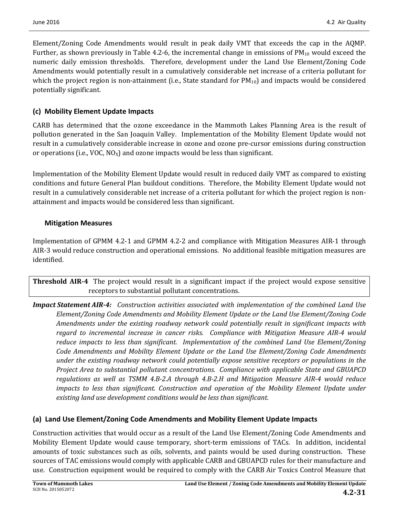Element/Zoning Code Amendments would result in peak daily VMT that exceeds the cap in the AQMP. Further, as shown previously in Table 4.2-6, the incremental change in emissions of  $PM_{10}$  would exceed the numeric daily emission thresholds. Therefore, development under the Land Use Element/Zoning Code Amendments would potentially result in a cumulatively considerable net increase of a criteria pollutant for which the project region is non-attainment (i.e., State standard for  $PM_{10}$ ) and impacts would be considered potentially significant.

## **(c) Mobility Element Update Impacts**

CARB has determined that the ozone exceedance in the Mammoth Lakes Planning Area is the result of pollution generated in the San Joaquin Valley. Implementation of the Mobility Element Update would not result in a cumulatively considerable increase in ozone and ozone pre-cursor emissions during construction or operations (i.e.,  $VOC$ ,  $NO<sub>x</sub>$ ) and ozone impacts would be less than significant.

Implementation of the Mobility Element Update would result in reduced daily VMT as compared to existing conditions and future General Plan buildout conditions. Therefore, the Mobility Element Update would not result in a cumulatively considerable net increase of a criteria pollutant for which the project region is nonattainment and impacts would be considered less than significant.

### **Mitigation Measures**

Implementation of GPMM 4.2-1 and GPMM 4.2-2 and compliance with Mitigation Measures AIR-1 through AIR-3 would reduce construction and operational emissions. No additional feasible mitigation measures are identified.

**Threshold AIR-4** The project would result in a significant impact if the project would expose sensitive receptors to substantial pollutant concentrations.

*Impact Statement AIR-4: Construction activities associated with implementation of the combined Land Use Element/Zoning Code Amendments and Mobility Element Update or the Land Use Element/Zoning Code Amendments under the existing roadway network could potentially result in significant impacts with regard to incremental increase in cancer risks. Compliance with Mitigation Measure AIR-4 would reduce impacts to less than significant. Implementation of the combined Land Use Element/Zoning Code Amendments and Mobility Element Update or the Land Use Element/Zoning Code Amendments under the existing roadway network could potentially expose sensitive receptors or populations in the Project Area to substantial pollutant concentrations. Compliance with applicable State and GBUAPCD regulations as well as TSMM 4.B-2.A through 4.B-2.H and Mitigation Measure AIR-4 would reduce impacts to less than significant. Construction and operation of the Mobility Element Update under existing land use development conditions would be less than significant.*

### **(a) Land Use Element/Zoning Code Amendments and Mobility Element Update Impacts**

Construction activities that would occur as a result of the Land Use Element/Zoning Code Amendments and Mobility Element Update would cause temporary, short-term emissions of TACs. In addition, incidental amounts of toxic substances such as oils, solvents, and paints would be used during construction. These sources of TAC emissions would comply with applicable CARB and GBUAPCD rules for their manufacture and use. Construction equipment would be required to comply with the CARB Air Toxics Control Measure that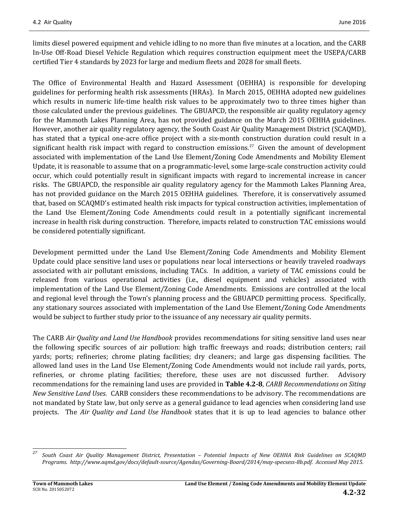limits diesel powered equipment and vehicle idling to no more than five minutes at a location, and the CARB In-Use Off-Road Diesel Vehicle Regulation which requires construction equipment meet the USEPA/CARB certified Tier 4 standards by 2023 for large and medium fleets and 2028 for small fleets.

The Office of Environmental Health and Hazard Assessment (OEHHA) is responsible for developing guidelines for performing health risk assessments (HRAs). In March 2015, OEHHA adopted new guidelines which results in numeric life-time health risk values to be approximately two to three times higher than those calculated under the previous guidelines. The GBUAPCD, the responsible air quality regulatory agency for the Mammoth Lakes Planning Area, has not provided guidance on the March 2015 OEHHA guidelines. However, another air quality regulatory agency, the South Coast Air Quality Management District (SCAQMD), has stated that a typical one-acre office project with a six-month construction duration could result in a significant health risk impact with regard to construction emissions.<sup>[27](#page-31-0)</sup> Given the amount of development associated with implementation of the Land Use Element/Zoning Code Amendments and Mobility Element Update, it is reasonable to assume that on a programmatic-level, some large-scale construction activity could occur, which could potentially result in significant impacts with regard to incremental increase in cancer risks. The GBUAPCD, the responsible air quality regulatory agency for the Mammoth Lakes Planning Area, has not provided guidance on the March 2015 OEHHA guidelines. Therefore, it is conservatively assumed that, based on SCAQMD's estimated health risk impacts for typical construction activities, implementation of the Land Use Element/Zoning Code Amendments could result in a potentially significant incremental increase in health risk during construction. Therefore, impacts related to construction TAC emissions would be considered potentially significant.

Development permitted under the Land Use Element/Zoning Code Amendments and Mobility Element Update could place sensitive land uses or populations near local intersections or heavily traveled roadways associated with air pollutant emissions, including TACs. In addition, a variety of TAC emissions could be released from various operational activities (i.e., diesel equipment and vehicles) associated with implementation of the Land Use Element/Zoning Code Amendments. Emissions are controlled at the local and regional level through the Town's planning process and the GBUAPCD permitting process. Specifically, any stationary sources associated with implementation of the Land Use Element/Zoning Code Amendments would be subject to further study prior to the issuance of any necessary air quality permits.

The CARB *Air Quality and Land Use Handbook* provides recommendations for siting sensitive land uses near the following specific sources of air pollution: high traffic freeways and roads; distribution centers; rail yards; ports; refineries; chrome plating facilities; dry cleaners; and large gas dispensing facilities. The allowed land uses in the Land Use Element/Zoning Code Amendments would not include rail yards, ports, refineries, or chrome plating facilities; therefore, these uses are not discussed further. Advisory recommendations for the remaining land uses are provided in **Table 4.2-8**, *CARB Recommendations on Siting New Sensitive Land Uses*. CARB considers these recommendations to be advisory. The recommendations are not mandated by State law, but only serve as a general guidance to lead agencies when considering land use projects. The *Air Quality and Land Use Handbook* states that it is up to lead agencies to balance other

<span id="page-31-0"></span>*<sup>27</sup> South Coast Air Quality Management District, Presentation – Potential Impacts of New OEHHA Risk Guidelines on SCAQMD Programs. http://www.aqmd.gov/docs/default-source/Agendas/Governing-Board/2014/may-specsess-8b.pdf. Accessed May 2015.*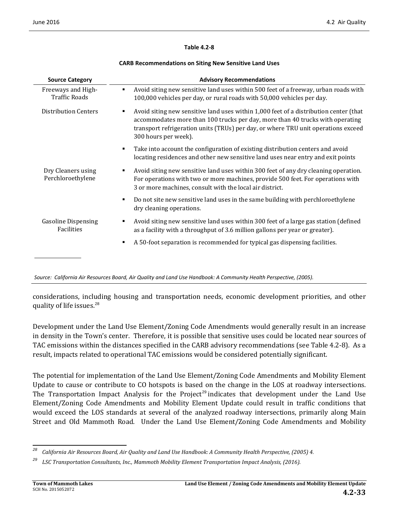#### **Table 4.2-8**

#### **CARB Recommendations on Siting New Sensitive Land Uses**

| <b>Source Category</b>                     | <b>Advisory Recommendations</b>                                                                                                                                                                                                                                                          |
|--------------------------------------------|------------------------------------------------------------------------------------------------------------------------------------------------------------------------------------------------------------------------------------------------------------------------------------------|
| Freeways and High-<br><b>Traffic Roads</b> | Avoid siting new sensitive land uses within 500 feet of a freeway, urban roads with<br>٠<br>100,000 vehicles per day, or rural roads with 50,000 vehicles per day.                                                                                                                       |
| Distribution Centers                       | Avoid siting new sensitive land uses within 1,000 feet of a distribution center (that<br>٠<br>accommodates more than 100 trucks per day, more than 40 trucks with operating<br>transport refrigeration units (TRUs) per day, or where TRU unit operations exceed<br>300 hours per week). |
|                                            | Take into account the configuration of existing distribution centers and avoid<br>٠<br>locating residences and other new sensitive land uses near entry and exit points                                                                                                                  |
| Dry Cleaners using<br>Perchloroethylene    | Avoid siting new sensitive land uses within 300 feet of any dry cleaning operation.<br>٠<br>For operations with two or more machines, provide 500 feet. For operations with<br>3 or more machines, consult with the local air district.                                                  |
|                                            | Do not site new sensitive land uses in the same building with perchloroethylene<br>٠<br>dry cleaning operations.                                                                                                                                                                         |
| <b>Gasoline Dispensing</b><br>Facilities   | Avoid siting new sensitive land uses within 300 feet of a large gas station (defined<br>п<br>as a facility with a throughput of 3.6 million gallons per year or greater).                                                                                                                |
|                                            | A 50-foot separation is recommended for typical gas dispensing facilities.<br>Е                                                                                                                                                                                                          |

*Source: California Air Resources Board, Air Quality and Land Use Handbook: A Community Health Perspective, (2005).*

considerations, including housing and transportation needs, economic development priorities, and other quality of life issues.<sup>[28](#page-32-0)</sup>

Development under the Land Use Element/Zoning Code Amendments would generally result in an increase in density in the Town's center. Therefore, it is possible that sensitive uses could be located near sources of TAC emissions within the distances specified in the CARB advisory recommendations (see Table 4.2-8). As a result, impacts related to operational TAC emissions would be considered potentially significant.

The potential for implementation of the Land Use Element/Zoning Code Amendments and Mobility Element Update to cause or contribute to CO hotspots is based on the change in the LOS at roadway intersections. The Transportation Impact Analysis for the Project<sup>[29](#page-32-1)</sup> indicates that development under the Land Use Element/Zoning Code Amendments and Mobility Element Update could result in traffic conditions that would exceed the LOS standards at several of the analyzed roadway intersections, primarily along Main Street and Old Mammoth Road. Under the Land Use Element/Zoning Code Amendments and Mobility

<span id="page-32-0"></span>*<sup>28</sup> California Air Resources Board, Air Quality and Land Use Handbook: A Community Health Perspective, (2005) 4.*

<span id="page-32-1"></span>*<sup>29</sup> LSC Transportation Consultants, Inc., Mammoth Mobility Element Transportation Impact Analysis, (2016).*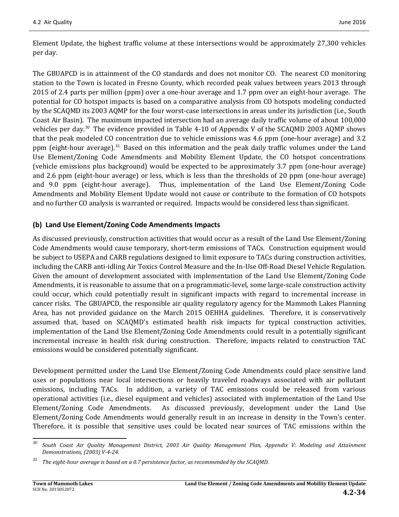Element Update, the highest traffic volume at these intersections would be approximately 27,300 vehicles per day.

The GBUAPCD is in attainment of the CO standards and does not monitor CO. The nearest CO monitoring station to the Town is located in Fresno County, which recorded peak values between years 2013 through 2015 of 2.4 parts per million (ppm) over a one-hour average and 1.7 ppm over an eight-hour average. The potential for CO hotspot impacts is based on a comparative analysis from CO hotspots modeling conducted by the SCAQMD its 2003 AQMP for the four worst-case intersections in areas under its jurisdiction (i.e., South Coast Air Basin). The maximum impacted intersection had an average daily traffic volume of about 100,000 vehicles per day.<sup>[30](#page-33-0)</sup> The evidence provided in Table 4-10 of Appendix V of the SCAQMD 2003 AQMP shows that the peak modeled CO concentration due to vehicle emissions was 4.6 ppm (one-hour average) and 3.2 ppm (eight-hour average).<sup>[31](#page-33-1)</sup> Based on this information and the peak daily traffic volumes under the Land Use Element/Zoning Code Amendments and Mobility Element Update, the CO hotspot concentrations (vehicle emissions plus background) would be expected to be approximately 3.7 ppm (one-hour average) and 2.6 ppm (eight-hour average) or less, which is less than the thresholds of 20 ppm (one-hour average) and 9.0 ppm (eight-hour average). Thus, implementation of the Land Use Element/Zoning Code Amendments and Mobility Element Update would not cause or contribute to the formation of CO hotspots and no further CO analysis is warranted or required. Impacts would be considered less than significant.

### **(b) Land Use Element/Zoning Code Amendments Impacts**

As discussed previously, construction activities that would occur as a result of the Land Use Element/Zoning Code Amendments would cause temporary, short-term emissions of TACs. Construction equipment would be subject to USEPA and CARB regulations designed to limit exposure to TACs during construction activities, including the CARB anti-idling Air Toxics Control Measure and the In-Use Off-Road Diesel Vehicle Regulation. Given the amount of development associated with implementation of the Land Use Element/Zoning Code Amendments, it is reasonable to assume that on a programmatic-level, some large-scale construction activity could occur, which could potentially result in significant impacts with regard to incremental increase in cancer risks. The GBUAPCD, the responsible air quality regulatory agency for the Mammoth Lakes Planning Area, has not provided guidance on the March 2015 OEHHA guidelines. Therefore, it is conservatively assumed that, based on SCAQMD's estimated health risk impacts for typical construction activities, implementation of the Land Use Element/Zoning Code Amendments could result in a potentially significant incremental increase in health risk during construction. Therefore, impacts related to construction TAC emissions would be considered potentially significant.

Development permitted under the Land Use Element/Zoning Code Amendments could place sensitive land uses or populations near local intersections or heavily traveled roadways associated with air pollutant emissions, including TACs. In addition, a variety of TAC emissions could be released from various operational activities (i.e., diesel equipment and vehicles) associated with implementation of the Land Use Element/Zoning Code Amendments. As discussed previously, development under the Land Use Element/Zoning Code Amendments would generally result in an increase in density in the Town's center. Therefore, it is possible that sensitive uses could be located near sources of TAC emissions within the

<span id="page-33-0"></span>*<sup>30</sup> South Coast Air Quality Management District, 2003 Air Quality Management Plan, Appendix V: Modeling and Attainment Demonstrations, (2003) V-4-24.*

<span id="page-33-1"></span>*<sup>31</sup> The eight-hour average is based on a 0.7 persistence factor, as recommended by the SCAQMD.*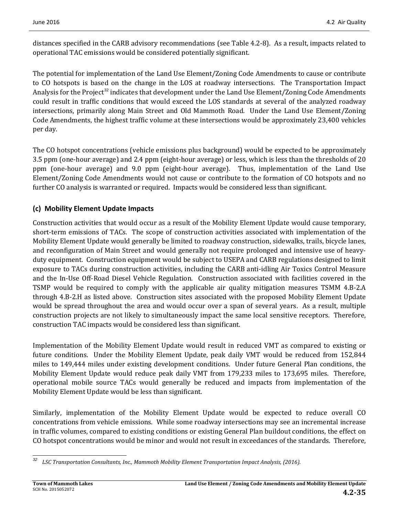distances specified in the CARB advisory recommendations (see Table 4.2-8). As a result, impacts related to operational TAC emissions would be considered potentially significant.

The potential for implementation of the Land Use Element/Zoning Code Amendments to cause or contribute to CO hotspots is based on the change in the LOS at roadway intersections. The Transportation Impact Analysis for the Project<sup>[32](#page-34-0)</sup> indicates that development under the Land Use Element/Zoning Code Amendments could result in traffic conditions that would exceed the LOS standards at several of the analyzed roadway intersections, primarily along Main Street and Old Mammoth Road. Under the Land Use Element/Zoning Code Amendments, the highest traffic volume at these intersections would be approximately 23,400 vehicles per day.

The CO hotspot concentrations (vehicle emissions plus background) would be expected to be approximately 3.5 ppm (one-hour average) and 2.4 ppm (eight-hour average) or less, which is less than the thresholds of 20 ppm (one-hour average) and 9.0 ppm (eight-hour average). Thus, implementation of the Land Use Element/Zoning Code Amendments would not cause or contribute to the formation of CO hotspots and no further CO analysis is warranted or required. Impacts would be considered less than significant.

## **(c) Mobility Element Update Impacts**

Construction activities that would occur as a result of the Mobility Element Update would cause temporary, short-term emissions of TACs. The scope of construction activities associated with implementation of the Mobility Element Update would generally be limited to roadway construction, sidewalks, trails, bicycle lanes, and reconfiguration of Main Street and would generally not require prolonged and intensive use of heavyduty equipment. Construction equipment would be subject to USEPA and CARB regulations designed to limit exposure to TACs during construction activities, including the CARB anti-idling Air Toxics Control Measure and the In-Use Off-Road Diesel Vehicle Regulation. Construction associated with facilities covered in the TSMP would be required to comply with the applicable air quality mitigation measures TSMM 4.B-2.A through 4.B-2.H as listed above. Construction sites associated with the proposed Mobility Element Update would be spread throughout the area and would occur over a span of several years. As a result, multiple construction projects are not likely to simultaneously impact the same local sensitive receptors. Therefore, construction TAC impacts would be considered less than significant.

Implementation of the Mobility Element Update would result in reduced VMT as compared to existing or future conditions. Under the Mobility Element Update, peak daily VMT would be reduced from 152,844 miles to 149,444 miles under existing development conditions. Under future General Plan conditions, the Mobility Element Update would reduce peak daily VMT from 179,233 miles to 173,695 miles. Therefore, operational mobile source TACs would generally be reduced and impacts from implementation of the Mobility Element Update would be less than significant.

Similarly, implementation of the Mobility Element Update would be expected to reduce overall CO concentrations from vehicle emissions. While some roadway intersections may see an incremental increase in traffic volumes, compared to existing conditions or existing General Plan buildout conditions, the effect on CO hotspot concentrations would be minor and would not result in exceedances of the standards. Therefore,

<span id="page-34-0"></span>*<sup>32</sup> LSC Transportation Consultants, Inc., Mammoth Mobility Element Transportation Impact Analysis, (2016).*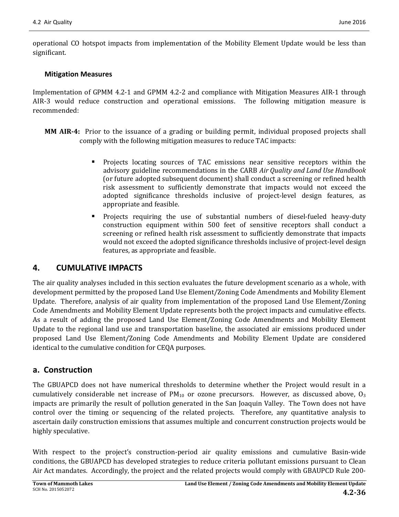operational CO hotspot impacts from implementation of the Mobility Element Update would be less than significant.

#### **Mitigation Measures**

Implementation of GPMM 4.2-1 and GPMM 4.2-2 and compliance with Mitigation Measures AIR-1 through AIR-3 would reduce construction and operational emissions. The following mitigation measure is recommended:

- **MM AIR-4:** Prior to the issuance of a grading or building permit, individual proposed projects shall comply with the following mitigation measures to reduce TAC impacts:
	- Projects locating sources of TAC emissions near sensitive receptors within the advisory guideline recommendations in the CARB *Air Quality and Land Use Handbook* (or future adopted subsequent document) shall conduct a screening or refined health risk assessment to sufficiently demonstrate that impacts would not exceed the adopted significance thresholds inclusive of project-level design features, as appropriate and feasible.
	- Projects requiring the use of substantial numbers of diesel-fueled heavy-duty construction equipment within 500 feet of sensitive receptors shall conduct a screening or refined health risk assessment to sufficiently demonstrate that impacts would not exceed the adopted significance thresholds inclusive of project-level design features, as appropriate and feasible.

## **4. CUMULATIVE IMPACTS**

The air quality analyses included in this section evaluates the future development scenario as a whole, with development permitted by the proposed Land Use Element/Zoning Code Amendments and Mobility Element Update. Therefore, analysis of air quality from implementation of the proposed Land Use Element/Zoning Code Amendments and Mobility Element Update represents both the project impacts and cumulative effects. As a result of adding the proposed Land Use Element/Zoning Code Amendments and Mobility Element Update to the regional land use and transportation baseline, the associated air emissions produced under proposed Land Use Element/Zoning Code Amendments and Mobility Element Update are considered identical to the cumulative condition for CEQA purposes.

### **a. Construction**

The GBUAPCD does not have numerical thresholds to determine whether the Project would result in a cumulatively considerable net increase of  $PM_{10}$  or ozone precursors. However, as discussed above,  $O_3$ impacts are primarily the result of pollution generated in the San Joaquin Valley. The Town does not have control over the timing or sequencing of the related projects. Therefore, any quantitative analysis to ascertain daily construction emissions that assumes multiple and concurrent construction projects would be highly speculative.

With respect to the project's construction-period air quality emissions and cumulative Basin-wide conditions, the GBUAPCD has developed strategies to reduce criteria pollutant emissions pursuant to Clean Air Act mandates. Accordingly, the project and the related projects would comply with GBAUPCD Rule 200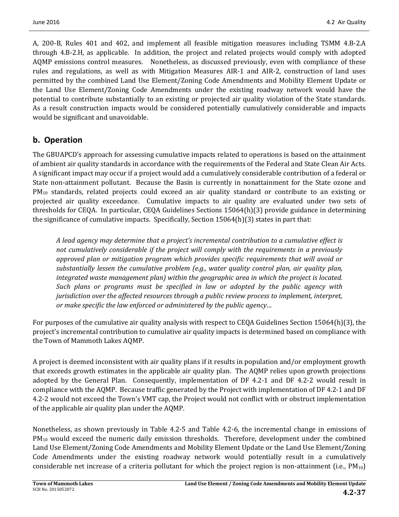A, 200-B, Rules 401 and 402, and implement all feasible mitigation measures including TSMM 4.B-2.A through 4.B-2.H, as applicable. In addition, the project and related projects would comply with adopted AQMP emissions control measures. Nonetheless, as discussed previously, even with compliance of these rules and regulations, as well as with Mitigation Measures AIR-1 and AIR-2, construction of land uses permitted by the combined Land Use Element/Zoning Code Amendments and Mobility Element Update or the Land Use Element/Zoning Code Amendments under the existing roadway network would have the potential to contribute substantially to an existing or projected air quality violation of the State standards. As a result construction impacts would be considered potentially cumulatively considerable and impacts would be significant and unavoidable.

## **b. Operation**

The GBUAPCD's approach for assessing cumulative impacts related to operations is based on the attainment of ambient air quality standards in accordance with the requirements of the Federal and State Clean Air Acts. A significant impact may occur if a project would add a cumulatively considerable contribution of a federal or State non-attainment pollutant. Because the Basin is currently in nonattainment for the State ozone and PM<sub>10</sub> standards, related projects could exceed an air quality standard or contribute to an existing or projected air quality exceedance. Cumulative impacts to air quality are evaluated under two sets of thresholds for CEQA. In particular, CEQA Guidelines Sections 15064(h)(3) provide guidance in determining the significance of cumulative impacts. Specifically, Section 15064(h)(3) states in part that:

*A lead agency may determine that a project's incremental contribution to a cumulative effect is not cumulatively considerable if the project will comply with the requirements in a previously approved plan or mitigation program which provides specific requirements that will avoid or substantially lessen the cumulative problem (e.g., water quality control plan, air quality plan, integrated waste management plan) within the geographic area in which the project is located. Such plans or programs must be specified in law or adopted by the public agency with jurisdiction over the affected resources through a public review process to implement, interpret, or make specific the law enforced or administered by the public agency…*

For purposes of the cumulative air quality analysis with respect to CEQA Guidelines Section 15064(h)(3), the project's incremental contribution to cumulative air quality impacts is determined based on compliance with the Town of Mammoth Lakes AQMP.

A project is deemed inconsistent with air quality plans if it results in population and/or employment growth that exceeds growth estimates in the applicable air quality plan. The AQMP relies upon growth projections adopted by the General Plan. Consequently, implementation of DF 4.2-1 and DF 4.2-2 would result in compliance with the AQMP. Because traffic generated by the Project with implementation of DF 4.2-1 and DF 4.2-2 would not exceed the Town's VMT cap, the Project would not conflict with or obstruct implementation of the applicable air quality plan under the AQMP.

Nonetheless, as shown previously in Table 4.2-5 and Table 4.2-6, the incremental change in emissions of  $PM_{10}$  would exceed the numeric daily emission thresholds. Therefore, development under the combined Land Use Element/Zoning Code Amendments and Mobility Element Update or the Land Use Element/Zoning Code Amendments under the existing roadway network would potentially result in a cumulatively considerable net increase of a criteria pollutant for which the project region is non-attainment (i.e.,  $PM_{10}$ )